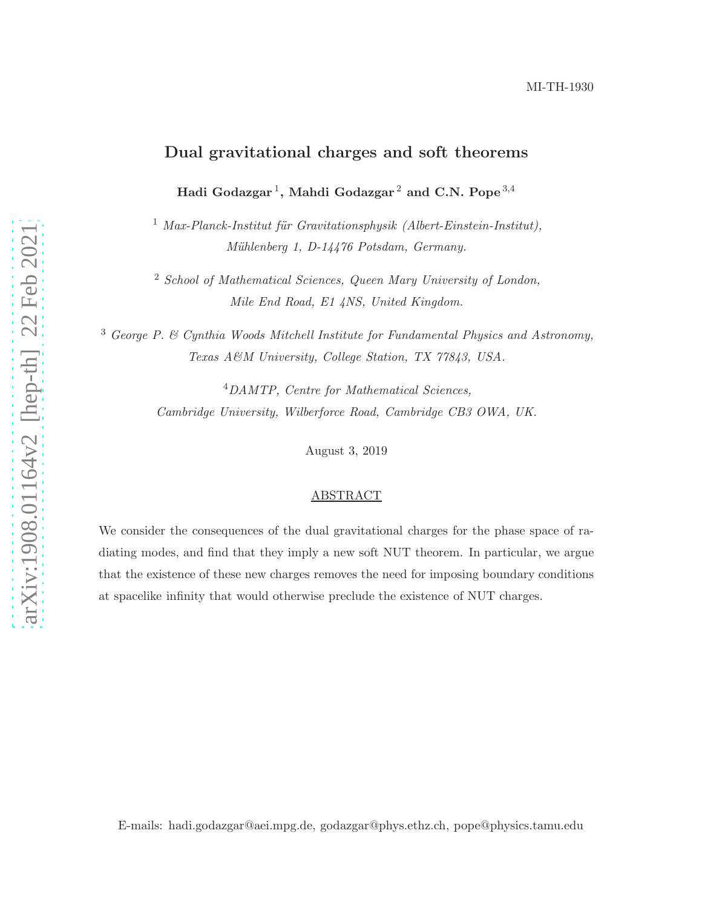# Dual gravitational charges and soft theorems

Hadi Godazgar<sup>1</sup>, Mahdi Godazgar<sup>2</sup> and C.N. Pope<sup>3,4</sup>

<sup>1</sup> *Max-Planck-Institut für Gravitationsphysik (Albert-Einstein-Institut)*, *M¨uhlenberg 1, D-14476 Potsdam, Germany.*

<sup>2</sup> *School of Mathematical Sciences, Queen Mary University of London, Mile End Road, E1 4NS, United Kingdom.*

<sup>3</sup> *George P. & Cynthia Woods Mitchell Institute for Fundamental Physics and Astronomy, Texas A&M University, College Station, TX 77843, USA.*

> <sup>4</sup>*DAMTP, Centre for Mathematical Sciences, Cambridge University, Wilberforce Road, Cambridge CB3 OWA, UK.*

> > August 3, 2019

### ABSTRACT

We consider the consequences of the dual gravitational charges for the phase space of radiating modes, and find that they imply a new soft NUT theorem. In particular, we argue that the existence of these new charges removes the need for imposing boundary conditions at spacelike infinity that would otherwise preclude the existence of NUT charges.

E-mails: hadi.godazgar@aei.mpg.de, godazgar@phys.ethz.ch, pope@physics.tamu.edu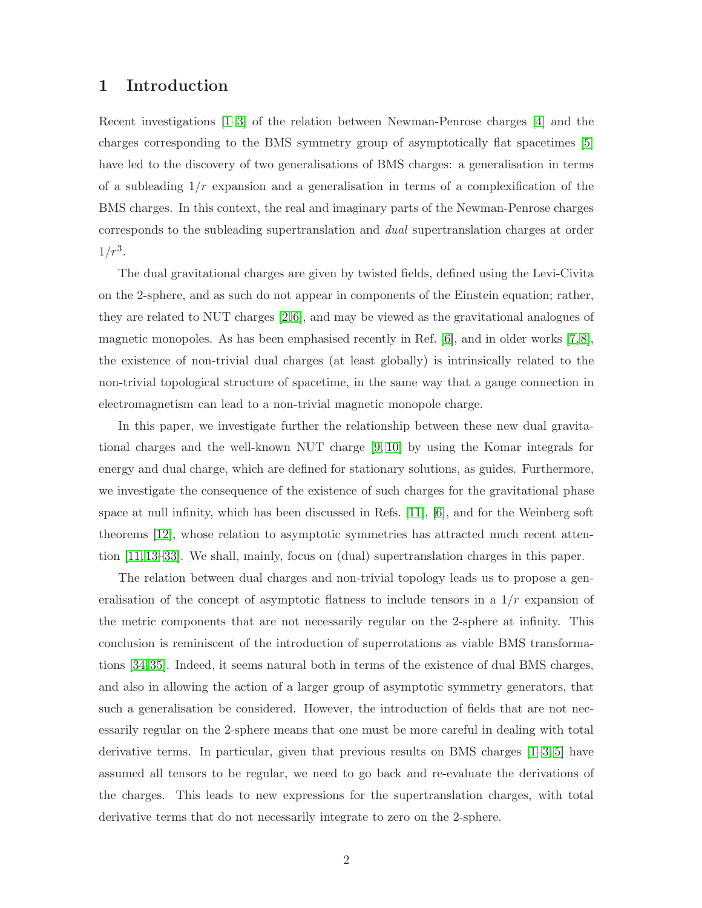### 1 Introduction

Recent investigations [\[1](#page-20-0)[–3\]](#page-20-1) of the relation between Newman-Penrose charges [\[4\]](#page-20-2) and the charges corresponding to the BMS symmetry group of asymptotically flat spacetimes [\[5\]](#page-20-3) have led to the discovery of two generalisations of BMS charges: a generalisation in terms of a subleading  $1/r$  expansion and a generalisation in terms of a complexification of the BMS charges. In this context, the real and imaginary parts of the Newman-Penrose charges corresponds to the subleading supertranslation and *dual* supertranslation charges at order  $1/r^3$ .

The dual gravitational charges are given by twisted fields, defined using the Levi-Civita on the 2-sphere, and as such do not appear in components of the Einstein equation; rather, they are related to NUT charges [\[2,](#page-20-4)[6\]](#page-20-5), and may be viewed as the gravitational analogues of magnetic monopoles. As has been emphasised recently in Ref. [\[6\]](#page-20-5), and in older works [\[7,](#page-20-6) [8\]](#page-20-7), the existence of non-trivial dual charges (at least globally) is intrinsically related to the non-trivial topological structure of spacetime, in the same way that a gauge connection in electromagnetism can lead to a non-trivial magnetic monopole charge.

In this paper, we investigate further the relationship between these new dual gravitational charges and the well-known NUT charge [\[9,](#page-21-0) [10\]](#page-21-1) by using the Komar integrals for energy and dual charge, which are defined for stationary solutions, as guides. Furthermore, we investigate the consequence of the existence of such charges for the gravitational phase space at null infinity, which has been discussed in Refs. [\[11\]](#page-21-2), [\[6\]](#page-20-5), and for the Weinberg soft theorems [\[12\]](#page-21-3), whose relation to asymptotic symmetries has attracted much recent attention [\[11,](#page-21-2) [13](#page-21-4)[–33\]](#page-22-0). We shall, mainly, focus on (dual) supertranslation charges in this paper.

The relation between dual charges and non-trivial topology leads us to propose a generalisation of the concept of asymptotic flatness to include tensors in a  $1/r$  expansion of the metric components that are not necessarily regular on the 2-sphere at infinity. This conclusion is reminiscent of the introduction of superrotations as viable BMS transformations [\[34,](#page-22-1) [35\]](#page-23-0). Indeed, it seems natural both in terms of the existence of dual BMS charges, and also in allowing the action of a larger group of asymptotic symmetry generators, that such a generalisation be considered. However, the introduction of fields that are not necessarily regular on the 2-sphere means that one must be more careful in dealing with total derivative terms. In particular, given that previous results on BMS charges [\[1](#page-20-0)[–3,](#page-20-1) [5\]](#page-20-3) have assumed all tensors to be regular, we need to go back and re-evaluate the derivations of the charges. This leads to new expressions for the supertranslation charges, with total derivative terms that do not necessarily integrate to zero on the 2-sphere.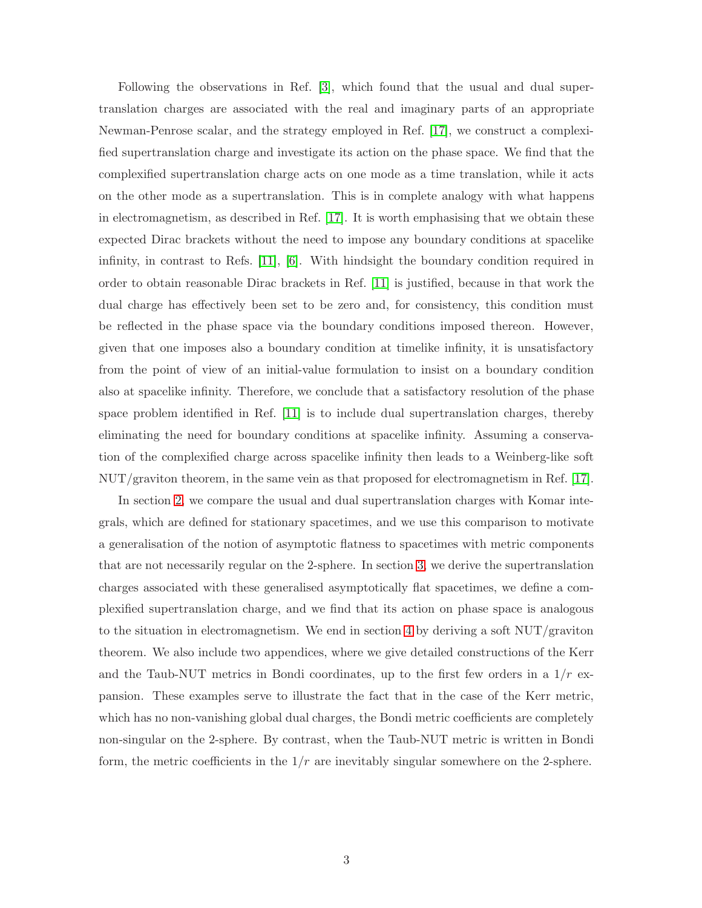Following the observations in Ref. [\[3\]](#page-20-1), which found that the usual and dual supertranslation charges are associated with the real and imaginary parts of an appropriate Newman-Penrose scalar, and the strategy employed in Ref. [\[17\]](#page-21-5), we construct a complexified supertranslation charge and investigate its action on the phase space. We find that the complexified supertranslation charge acts on one mode as a time translation, while it acts on the other mode as a supertranslation. This is in complete analogy with what happens in electromagnetism, as described in Ref. [\[17\]](#page-21-5). It is worth emphasising that we obtain these expected Dirac brackets without the need to impose any boundary conditions at spacelike infinity, in contrast to Refs. [\[11\]](#page-21-2), [\[6\]](#page-20-5). With hindsight the boundary condition required in order to obtain reasonable Dirac brackets in Ref. [\[11\]](#page-21-2) is justified, because in that work the dual charge has effectively been set to be zero and, for consistency, this condition must be reflected in the phase space via the boundary conditions imposed thereon. However, given that one imposes also a boundary condition at timelike infinity, it is unsatisfactory from the point of view of an initial-value formulation to insist on a boundary condition also at spacelike infinity. Therefore, we conclude that a satisfactory resolution of the phase space problem identified in Ref. [\[11\]](#page-21-2) is to include dual supertranslation charges, thereby eliminating the need for boundary conditions at spacelike infinity. Assuming a conservation of the complexified charge across spacelike infinity then leads to a Weinberg-like soft NUT/graviton theorem, in the same vein as that proposed for electromagnetism in Ref. [\[17\]](#page-21-5).

In section [2,](#page-3-0) we compare the usual and dual supertranslation charges with Komar integrals, which are defined for stationary spacetimes, and we use this comparison to motivate a generalisation of the notion of asymptotic flatness to spacetimes with metric components that are not necessarily regular on the 2-sphere. In section [3,](#page-8-0) we derive the supertranslation charges associated with these generalised asymptotically flat spacetimes, we define a complexified supertranslation charge, and we find that its action on phase space is analogous to the situation in electromagnetism. We end in section [4](#page-11-0) by deriving a soft  $\text{NUT}/\text{graviton}$ theorem. We also include two appendices, where we give detailed constructions of the Kerr and the Taub-NUT metrics in Bondi coordinates, up to the first few orders in a  $1/r$  expansion. These examples serve to illustrate the fact that in the case of the Kerr metric, which has no non-vanishing global dual charges, the Bondi metric coefficients are completely non-singular on the 2-sphere. By contrast, when the Taub-NUT metric is written in Bondi form, the metric coefficients in the  $1/r$  are inevitably singular somewhere on the 2-sphere.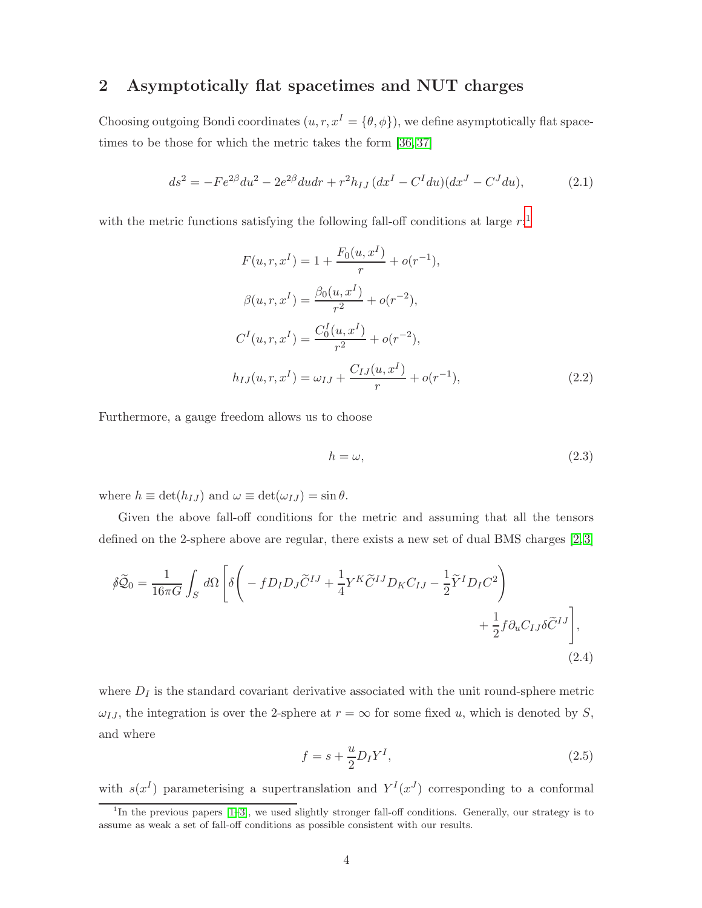# <span id="page-3-0"></span>2 Asymptotically flat spacetimes and NUT charges

Choosing outgoing Bondi coordinates  $(u, r, x^I = {\theta, \phi})$ , we define asymptotically flat space-times to be those for which the metric takes the form [\[36,](#page-23-1)37]

<span id="page-3-4"></span>
$$
ds^{2} = -Fe^{2\beta}du^{2} - 2e^{2\beta}du dr + r^{2}h_{IJ}(dx^{I} - C^{I}du)(dx^{J} - C^{J}du),
$$
\n(2.1)

with the metric functions satisfying the following fall-off conditions at large  $r$ :<sup>[1](#page-3-1)</sup>

$$
F(u, r, x^{I}) = 1 + \frac{F_0(u, x^{I})}{r} + o(r^{-1}),
$$
  
\n
$$
\beta(u, r, x^{I}) = \frac{\beta_0(u, x^{I})}{r^2} + o(r^{-2}),
$$
  
\n
$$
C^{I}(u, r, x^{I}) = \frac{C_0^{I}(u, x^{I})}{r^2} + o(r^{-2}),
$$
  
\n
$$
h_{IJ}(u, r, x^{I}) = \omega_{IJ} + \frac{C_{IJ}(u, x^{I})}{r} + o(r^{-1}),
$$
\n(2.2)

Furthermore, a gauge freedom allows us to choose

<span id="page-3-5"></span><span id="page-3-3"></span>
$$
h = \omega,\tag{2.3}
$$

where  $h \equiv \det(h_{IJ})$  and  $\omega \equiv \det(\omega_{IJ}) = \sin \theta$ .

Given the above fall-off conditions for the metric and assuming that all the tensors defined on the 2-sphere above are regular, there exists a new set of dual BMS charges [\[2,](#page-20-4) [3\]](#page-20-1)

$$
\tilde{\beta}\tilde{\mathcal{Q}}_0 = \frac{1}{16\pi G} \int_S d\Omega \left[ \delta \left( -f D_I D_J \tilde{C}^{IJ} + \frac{1}{4} Y^K \tilde{C}^{IJ} D_K C_{IJ} - \frac{1}{2} \tilde{Y}^I D_I C^2 \right) + \frac{1}{2} f \partial_u C_{IJ} \delta \tilde{C}^{IJ} \right],
$$
\n(2.4)

where  $D_I$  is the standard covariant derivative associated with the unit round-sphere metric  $\omega_{IJ}$ , the integration is over the 2-sphere at  $r = \infty$  for some fixed u, which is denoted by S, and where

<span id="page-3-2"></span>
$$
f = s + \frac{u}{2} D_I Y^I,\tag{2.5}
$$

with  $s(x^I)$  parameterising a supertranslation and  $Y^I(x^J)$  corresponding to a conformal

<span id="page-3-1"></span><sup>&</sup>lt;sup>1</sup>In the previous papers [\[1](#page-20-0)[–3\]](#page-20-1), we used slightly stronger fall-off conditions. Generally, our strategy is to assume as weak a set of fall-off conditions as possible consistent with our results.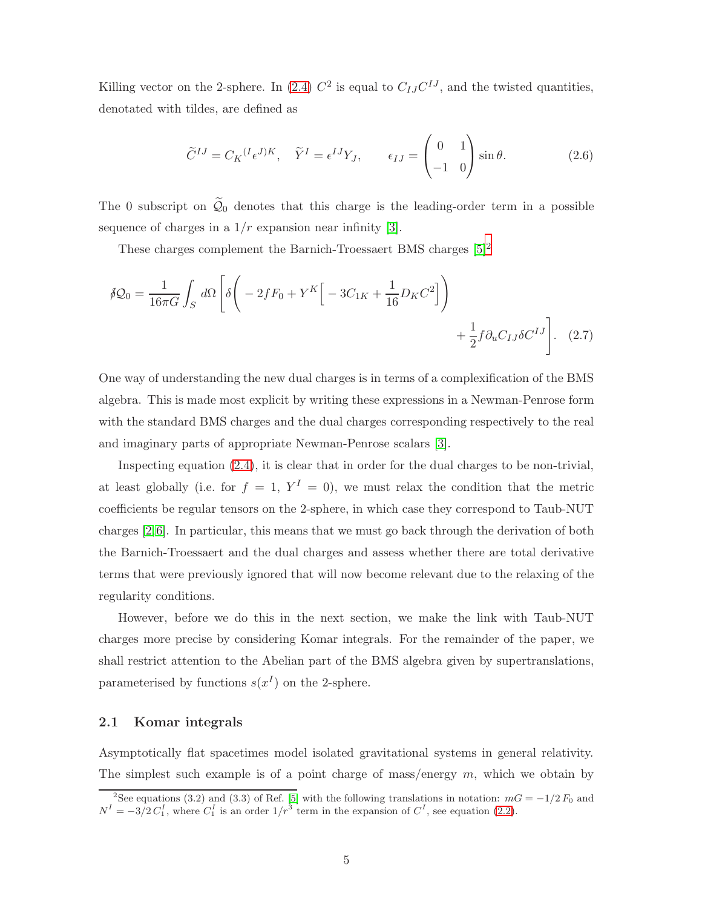Killing vector on the 2-sphere. In [\(2.4\)](#page-3-2)  $C^2$  is equal to  $C_{IJ}C^{IJ}$ , and the twisted quantities, denotated with tildes, are defined as

<span id="page-4-2"></span><span id="page-4-1"></span>
$$
\widetilde{C}^{IJ} = C_K{}^{(I} \epsilon^{J)K}, \quad \widetilde{Y}^I = \epsilon^{IJ} Y_J, \qquad \epsilon_{IJ} = \begin{pmatrix} 0 & 1 \\ -1 & 0 \end{pmatrix} \sin \theta.
$$
 (2.6)

The 0 subscript on  $\widetilde{Q}_0$  denotes that this charge is the leading-order term in a possible sequence of charges in a  $1/r$  expansion near infinity [\[3\]](#page-20-1).

These charges complement the Barnich-Troessaert BMS charges  $[5]^2$  $[5]^2$ 

$$
\oint \mathcal{Q}_0 = \frac{1}{16\pi G} \int_S d\Omega \left[ \delta \left( -2fF_0 + Y^K \Big[ -3C_{1K} + \frac{1}{16} D_K C^2 \Big] \right) + \frac{1}{2} f \partial_u C_{IJ} \delta C^{IJ} \right].
$$
 (2.7)

One way of understanding the new dual charges is in terms of a complexification of the BMS algebra. This is made most explicit by writing these expressions in a Newman-Penrose form with the standard BMS charges and the dual charges corresponding respectively to the real and imaginary parts of appropriate Newman-Penrose scalars [\[3\]](#page-20-1).

Inspecting equation [\(2.4\)](#page-3-2), it is clear that in order for the dual charges to be non-trivial, at least globally (i.e. for  $f = 1$ ,  $Y^I = 0$ ), we must relax the condition that the metric coefficients be regular tensors on the 2-sphere, in which case they correspond to Taub-NUT charges [\[2,](#page-20-4)[6\]](#page-20-5). In particular, this means that we must go back through the derivation of both the Barnich-Troessaert and the dual charges and assess whether there are total derivative terms that were previously ignored that will now become relevant due to the relaxing of the regularity conditions.

However, before we do this in the next section, we make the link with Taub-NUT charges more precise by considering Komar integrals. For the remainder of the paper, we shall restrict attention to the Abelian part of the BMS algebra given by supertranslations, parameterised by functions  $s(x^I)$  on the 2-sphere.

#### 2.1 Komar integrals

Asymptotically flat spacetimes model isolated gravitational systems in general relativity. The simplest such example is of a point charge of mass/energy  $m$ , which we obtain by

<span id="page-4-0"></span><sup>&</sup>lt;sup>2</sup>See equations (3.2) and (3.3) of Ref. [\[5\]](#page-20-3) with the following translations in notation:  $mG = -1/2 F_0$  and  $N^I = -3/2 C_1^I$ , where  $C_1^I$  is an order  $1/r^3$  term in the expansion of  $C^I$ , see equation [\(2.2\)](#page-3-3).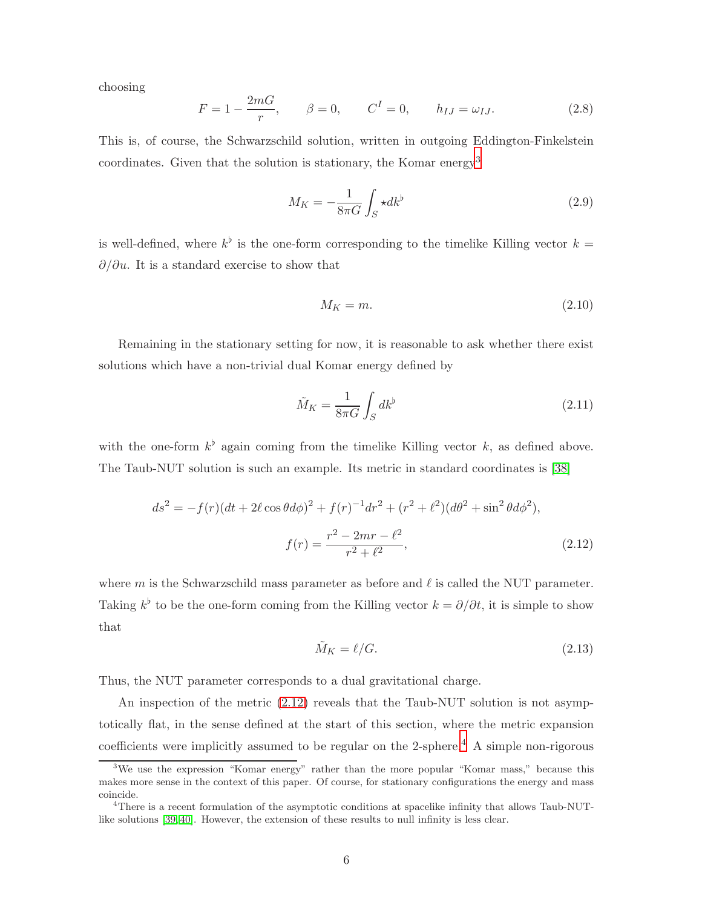choosing

$$
F = 1 - \frac{2mG}{r}, \qquad \beta = 0, \qquad C^{I} = 0, \qquad h_{IJ} = \omega_{IJ}.
$$
 (2.8)

This is, of course, the Schwarzschild solution, written in outgoing Eddington-Finkelstein coordinates. Given that the solution is stationary, the Komar energy[3](#page-5-0)

<span id="page-5-3"></span>
$$
M_K = -\frac{1}{8\pi G} \int_S \star dk^{\flat} \tag{2.9}
$$

is well-defined, where  $k^{\flat}$  is the one-form corresponding to the timelike Killing vector  $k =$  $\partial/\partial u$ . It is a standard exercise to show that

$$
M_K = m. \tag{2.10}
$$

Remaining in the stationary setting for now, it is reasonable to ask whether there exist solutions which have a non-trivial dual Komar energy defined by

$$
\tilde{M}_K = \frac{1}{8\pi G} \int_S dk^\flat \tag{2.11}
$$

with the one-form  $k^{\flat}$  again coming from the timelike Killing vector k, as defined above. The Taub-NUT solution is such an example. Its metric in standard coordinates is [\[38\]](#page-23-3)

$$
ds^{2} = -f(r)(dt + 2\ell \cos\theta d\phi)^{2} + f(r)^{-1}dr^{2} + (r^{2} + \ell^{2})(d\theta^{2} + \sin^{2}\theta d\phi^{2}),
$$

$$
f(r) = \frac{r^{2} - 2mr - \ell^{2}}{r^{2} + \ell^{2}},
$$
(2.12)

where m is the Schwarzschild mass parameter as before and  $\ell$  is called the NUT parameter. Taking  $k^{\flat}$  to be the one-form coming from the Killing vector  $k = \partial/\partial t$ , it is simple to show that

<span id="page-5-1"></span>
$$
\tilde{M}_K = \ell/G. \tag{2.13}
$$

Thus, the NUT parameter corresponds to a dual gravitational charge.

An inspection of the metric [\(2.12\)](#page-5-1) reveals that the Taub-NUT solution is not asymptotically flat, in the sense defined at the start of this section, where the metric expansion coefficients were implicitly assumed to be regular on the 2-sphere.<sup>[4](#page-5-2)</sup> A simple non-rigorous

<span id="page-5-0"></span><sup>&</sup>lt;sup>3</sup>We use the expression "Komar energy" rather than the more popular "Komar mass," because this makes more sense in the context of this paper. Of course, for stationary configurations the energy and mass coincide.

<span id="page-5-2"></span><sup>&</sup>lt;sup>4</sup>There is a recent formulation of the asymptotic conditions at spacelike infinity that allows Taub-NUTlike solutions [\[39,](#page-23-4) [40\]](#page-23-5). However, the extension of these results to null infinity is less clear.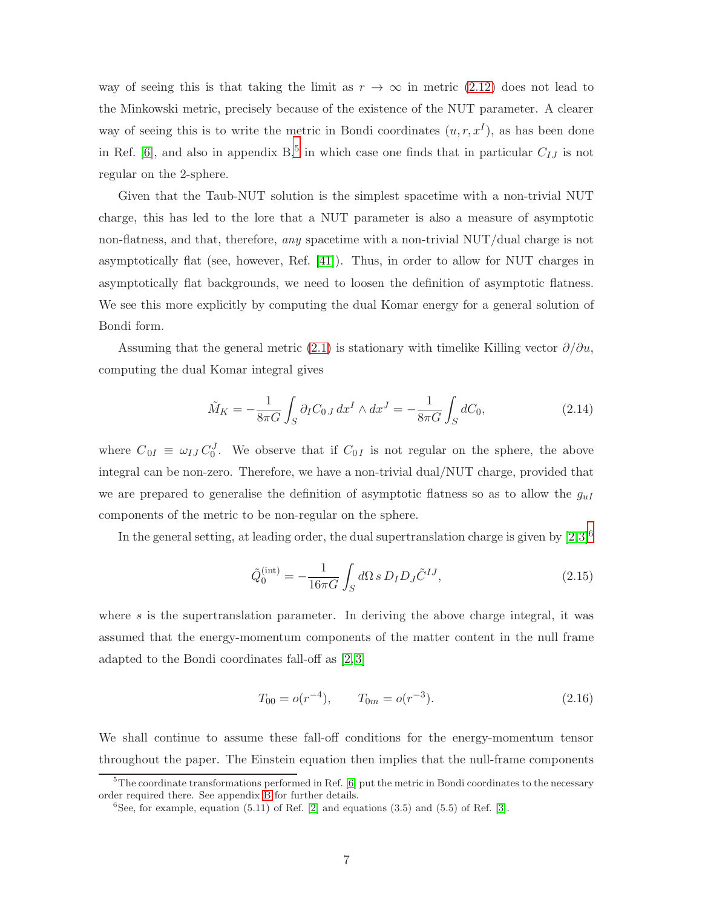way of seeing this is that taking the limit as  $r \to \infty$  in metric [\(2.12\)](#page-5-1) does not lead to the Minkowski metric, precisely because of the existence of the NUT parameter. A clearer way of seeing this is to write the metric in Bondi coordinates  $(u, r, x<sup>I</sup>)$ , as has been done in Ref. [\[6\]](#page-20-5), and also in appendix  $B$ <sup>[5](#page-6-0)</sup>, in which case one finds that in particular  $C_{IJ}$  is not regular on the 2-sphere.

Given that the Taub-NUT solution is the simplest spacetime with a non-trivial NUT charge, this has led to the lore that a NUT parameter is also a measure of asymptotic non-flatness, and that, therefore, *any* spacetime with a non-trivial NUT/dual charge is not asymptotically flat (see, however, Ref. [\[41\]](#page-23-6)). Thus, in order to allow for NUT charges in asymptotically flat backgrounds, we need to loosen the definition of asymptotic flatness. We see this more explicitly by computing the dual Komar energy for a general solution of Bondi form.

Assuming that the general metric [\(2.1\)](#page-3-4) is stationary with timelike Killing vector  $\partial/\partial u$ , computing the dual Komar integral gives

<span id="page-6-3"></span>
$$
\tilde{M}_K = -\frac{1}{8\pi G} \int_S \partial_I C_{0J} \, dx^I \wedge dx^J = -\frac{1}{8\pi G} \int_S dC_0,\tag{2.14}
$$

where  $C_{0I} \equiv \omega_{IJ} C_0^J$ . We observe that if  $C_{0I}$  is not regular on the sphere, the above integral can be non-zero. Therefore, we have a non-trivial dual/NUT charge, provided that we are prepared to generalise the definition of asymptotic flatness so as to allow the  $q_{uI}$ components of the metric to be non-regular on the sphere.

In the general setting, at leading order, the dual supertranslation charge is given by  $[2,3]^6$  $[2,3]^6$  $[2,3]^6$  $[2,3]^6$ 

<span id="page-6-2"></span>
$$
\tilde{Q}_0^{(\text{int})} = -\frac{1}{16\pi G} \int_S d\Omega \, s \, D_I D_J \tilde{C}^{IJ},\tag{2.15}
$$

where  $s$  is the supertranslation parameter. In deriving the above charge integral, it was assumed that the energy-momentum components of the matter content in the null frame adapted to the Bondi coordinates fall-off as [\[2,](#page-20-4) [3\]](#page-20-1)

$$
T_{00} = o(r^{-4}), \qquad T_{0m} = o(r^{-3}). \tag{2.16}
$$

We shall continue to assume these fall-off conditions for the energy-momentum tensor throughout the paper. The Einstein equation then implies that the null-frame components

<sup>&</sup>lt;sup>5</sup>The coordinate transformations performed in Ref. [\[6\]](#page-20-5) put the metric in Bondi coordinates to the necessary order required there. See appendix [B](#page-18-0) for further details.

<span id="page-6-1"></span><span id="page-6-0"></span> ${}^{6}$ See, for example, equation (5.11) of Ref. [\[2\]](#page-20-4) and equations (3.5) and (5.5) of Ref. [\[3\]](#page-20-1).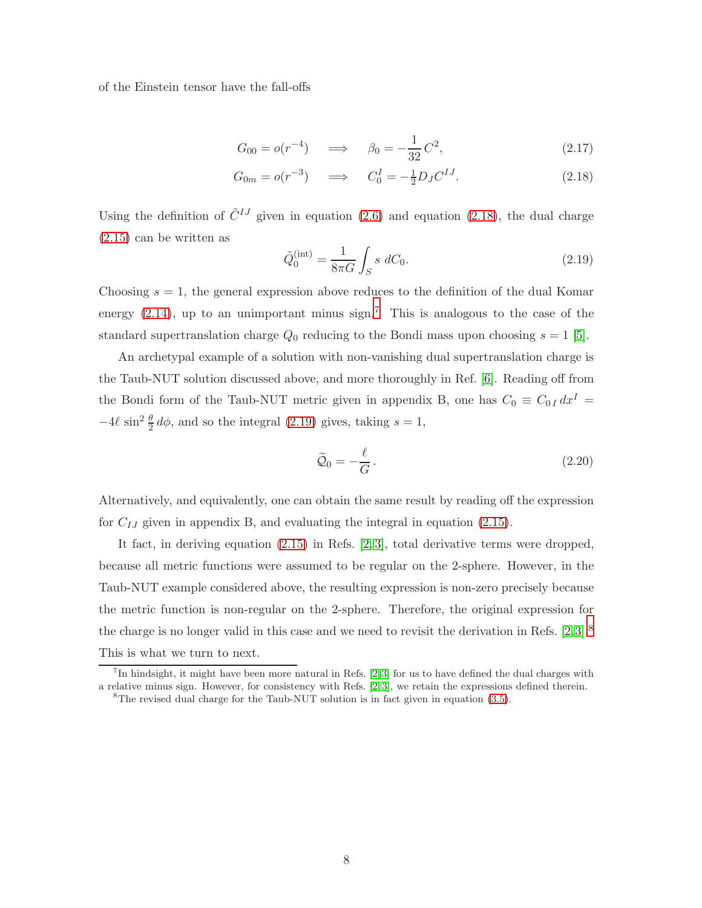of the Einstein tensor have the fall-offs

$$
G_{00} = o(r^{-4}) \quad \implies \quad \beta_0 = -\frac{1}{32}C^2,\tag{2.17}
$$

$$
G_{0m} = o(r^{-3}) \quad \implies \quad C_0^I = -\frac{1}{2} D_J C^{IJ}.
$$
\n(2.18)

Using the definition of  $\tilde{C}^{IJ}$  given in equation [\(2.6\)](#page-4-1) and equation [\(2.18\)](#page-7-0), the dual charge [\(2.15\)](#page-6-2) can be written as

<span id="page-7-2"></span><span id="page-7-0"></span>
$$
\tilde{Q}_0^{(\text{int})} = \frac{1}{8\pi G} \int_S s \, dC_0.
$$
\n(2.19)

Choosing  $s = 1$ , the general expression above reduces to the definition of the dual Komar energy  $(2.14)$ , up to an unimportant minus sign.<sup>[7](#page-7-1)</sup> This is analogous to the case of the standard supertranslation charge  $Q_0$  reducing to the Bondi mass upon choosing  $s = 1$  [\[5\]](#page-20-3).

An archetypal example of a solution with non-vanishing dual supertranslation charge is the Taub-NUT solution discussed above, and more thoroughly in Ref. [\[6\]](#page-20-5). Reading off from the Bondi form of the Taub-NUT metric given in appendix B, one has  $C_0 \equiv C_{0I} dx^I$  $-4\ell \sin^2 \frac{\theta}{2} d\phi$ , and so the integral [\(2.19\)](#page-7-2) gives, taking  $s = 1$ ,

<span id="page-7-4"></span>
$$
\widetilde{Q}_0 = -\frac{\ell}{G}.
$$
\n(2.20)

Alternatively, and equivalently, one can obtain the same result by reading off the expression for  $C_{IJ}$  given in appendix B, and evaluating the integral in equation [\(2.15\)](#page-6-2).

It fact, in deriving equation [\(2.15\)](#page-6-2) in Refs. [\[2,](#page-20-4) [3\]](#page-20-1), total derivative terms were dropped, because all metric functions were assumed to be regular on the 2-sphere. However, in the Taub-NUT example considered above, the resulting expression is non-zero precisely because the metric function is non-regular on the 2-sphere. Therefore, the original expression for the charge is no longer valid in this case and we need to revisit the derivation in Refs. [\[2,](#page-20-4)[3\]](#page-20-1).[8](#page-7-3) This is what we turn to next.

<sup>&</sup>lt;sup>7</sup>In hindsight, it might have been more natural in Refs. [\[2,](#page-20-4)3] for us to have defined the dual charges with a relative minus sign. However, for consistency with Refs. [\[2,](#page-20-4) [3\]](#page-20-1), we retain the expressions defined therein.

<span id="page-7-3"></span><span id="page-7-1"></span><sup>&</sup>lt;sup>8</sup>The revised dual charge for the Taub-NUT solution is in fact given in equation  $(3.5)$ .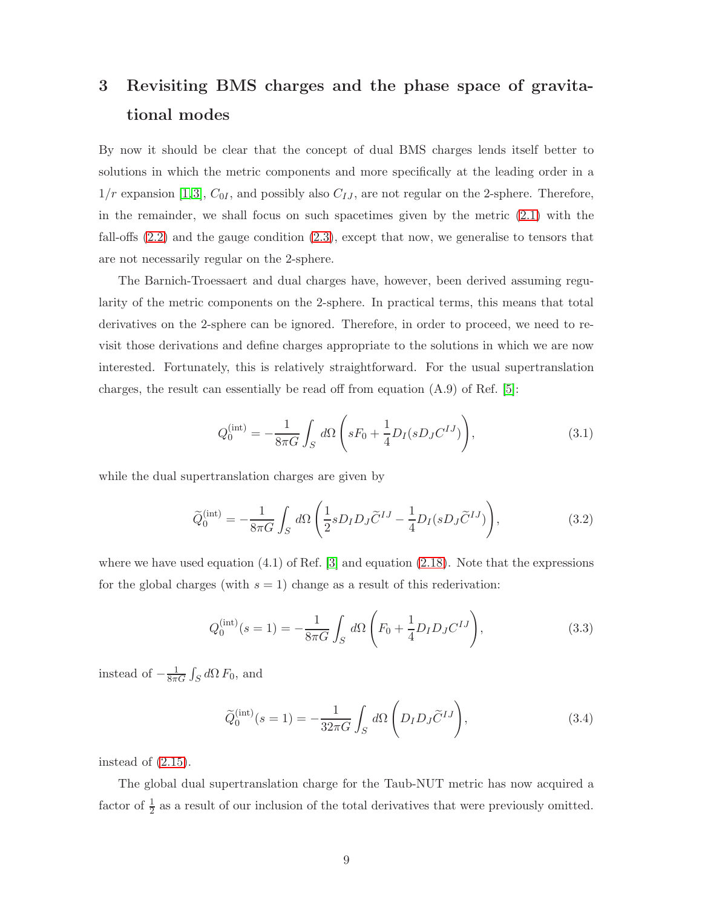# <span id="page-8-0"></span>3 Revisiting BMS charges and the phase space of gravitational modes

By now it should be clear that the concept of dual BMS charges lends itself better to solutions in which the metric components and more specifically at the leading order in a  $1/r$  expansion [\[1,](#page-20-0)[3\]](#page-20-1),  $C_{0I}$ , and possibly also  $C_{IJ}$ , are not regular on the 2-sphere. Therefore, in the remainder, we shall focus on such spacetimes given by the metric  $(2.1)$  with the fall-offs [\(2.2\)](#page-3-3) and the gauge condition [\(2.3\)](#page-3-5), except that now, we generalise to tensors that are not necessarily regular on the 2-sphere.

The Barnich-Troessaert and dual charges have, however, been derived assuming regularity of the metric components on the 2-sphere. In practical terms, this means that total derivatives on the 2-sphere can be ignored. Therefore, in order to proceed, we need to revisit those derivations and define charges appropriate to the solutions in which we are now interested. Fortunately, this is relatively straightforward. For the usual supertranslation charges, the result can essentially be read off from equation (A.9) of Ref. [\[5\]](#page-20-3):

$$
Q_0^{(\text{int})} = -\frac{1}{8\pi G} \int_S d\Omega \left( sF_0 + \frac{1}{4} D_I (sD_J C^{IJ}) \right), \tag{3.1}
$$

while the dual supertranslation charges are given by

$$
\widetilde{Q}_0^{(\text{int})} = -\frac{1}{8\pi G} \int_S d\Omega \left( \frac{1}{2} s D_I D_J \widetilde{C}^{IJ} - \frac{1}{4} D_I (s D_J \widetilde{C}^{IJ}) \right),\tag{3.2}
$$

where we have used equation  $(4.1)$  of Ref. [\[3\]](#page-20-1) and equation  $(2.18)$ . Note that the expressions for the global charges (with  $s = 1$ ) change as a result of this rederivation:

$$
Q_0^{(\text{int})}(s=1) = -\frac{1}{8\pi G} \int_S d\Omega \left( F_0 + \frac{1}{4} D_I D_J C^{IJ} \right), \tag{3.3}
$$

instead of  $-\frac{1}{8\pi G}\int_S d\Omega F_0$ , and

$$
\widetilde{Q}_0^{(\text{int})}(s=1) = -\frac{1}{32\pi G} \int_S d\Omega \left( D_I D_J \widetilde{C}^{IJ} \right),\tag{3.4}
$$

instead of [\(2.15\)](#page-6-2).

The global dual supertranslation charge for the Taub-NUT metric has now acquired a factor of  $\frac{1}{2}$  as a result of our inclusion of the total derivatives that were previously omitted.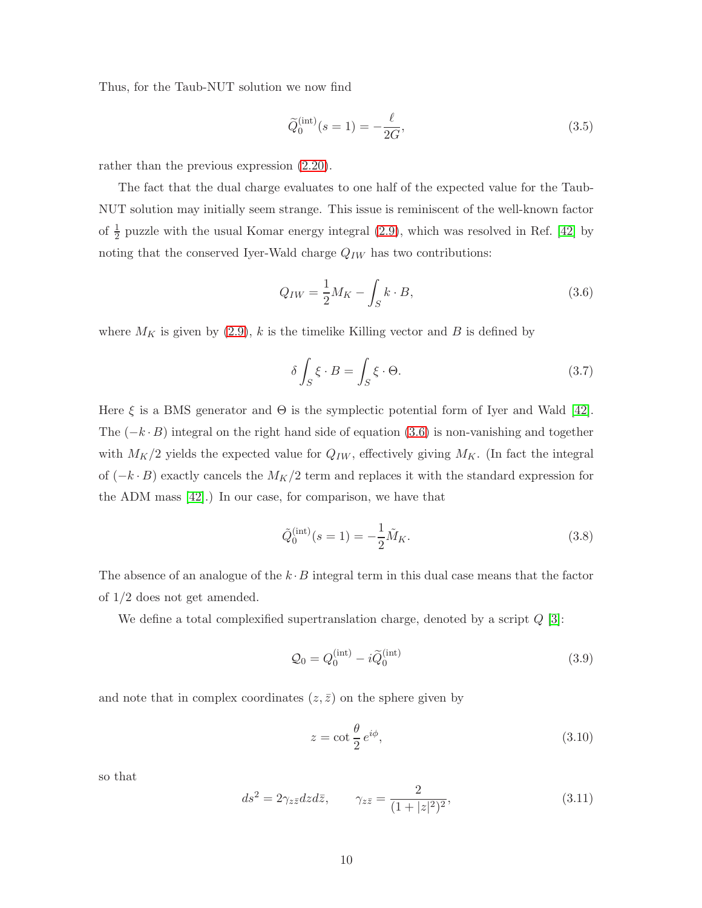Thus, for the Taub-NUT solution we now find

<span id="page-9-0"></span>
$$
\widetilde{Q}_0^{(\text{int})}(s=1) = -\frac{\ell}{2G},
$$
\n(3.5)

rather than the previous expression [\(2.20\)](#page-7-4).

The fact that the dual charge evaluates to one half of the expected value for the Taub-NUT solution may initially seem strange. This issue is reminiscent of the well-known factor of  $\frac{1}{2}$  puzzle with the usual Komar energy integral [\(2.9\)](#page-5-3), which was resolved in Ref. [\[42\]](#page-23-7) by noting that the conserved Iyer-Wald charge  $Q_{IW}$  has two contributions:

<span id="page-9-1"></span>
$$
Q_{IW} = \frac{1}{2} M_K - \int_S k \cdot B,\tag{3.6}
$$

where  $M_K$  is given by [\(2.9\)](#page-5-3), k is the timelike Killing vector and B is defined by

$$
\delta \int_{S} \xi \cdot B = \int_{S} \xi \cdot \Theta. \tag{3.7}
$$

Here  $\xi$  is a BMS generator and  $\Theta$  is the symplectic potential form of Iyer and Wald [\[42\]](#page-23-7). The  $(-k \cdot B)$  integral on the right hand side of equation [\(3.6\)](#page-9-1) is non-vanishing and together with  $M_K/2$  yields the expected value for  $Q_{IW}$ , effectively giving  $M_K$ . (In fact the integral of  $(-k \cdot B)$  exactly cancels the  $M_K/2$  term and replaces it with the standard expression for the ADM mass [\[42\]](#page-23-7).) In our case, for comparison, we have that

$$
\tilde{Q}_0^{(\text{int})}(s=1) = -\frac{1}{2}\tilde{M}_K.
$$
\n(3.8)

The absence of an analogue of the  $k \cdot B$  integral term in this dual case means that the factor of 1/2 does not get amended.

We define a total complexified supertranslation charge, denoted by a script  $Q$  [\[3\]](#page-20-1):

<span id="page-9-2"></span>
$$
\mathcal{Q}_0 = Q_0^{(\text{int})} - i \widetilde{Q}_0^{(\text{int})} \tag{3.9}
$$

and note that in complex coordinates  $(z, \bar{z})$  on the sphere given by

$$
z = \cot \frac{\theta}{2} e^{i\phi},\tag{3.10}
$$

so that

$$
ds^2 = 2\gamma_{z\bar{z}}dzd\bar{z}, \qquad \gamma_{z\bar{z}} = \frac{2}{(1+|z|^2)^2}, \tag{3.11}
$$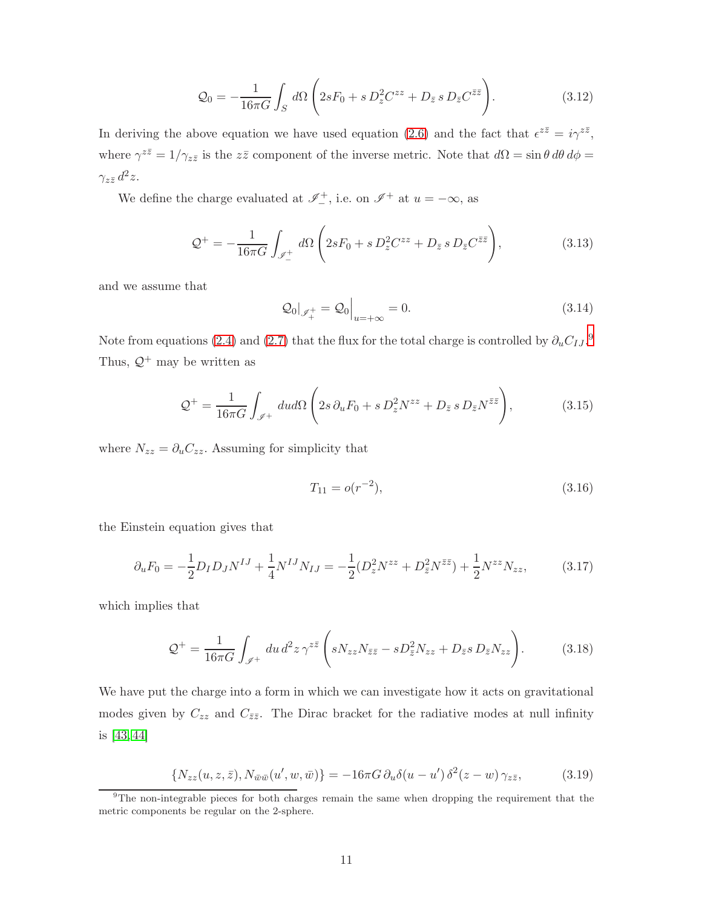<span id="page-10-3"></span>
$$
\mathcal{Q}_0 = -\frac{1}{16\pi G} \int_S d\Omega \left( 2sF_0 + s D_z^2 C^{zz} + D_{\bar{z}} s D_{\bar{z}} C^{\bar{z}\bar{z}} \right).
$$
 (3.12)

In deriving the above equation we have used equation [\(2.6\)](#page-4-1) and the fact that  $\epsilon^{z\bar{z}} = i\gamma^{z\bar{z}}$ , where  $\gamma^{z\bar{z}} = 1/\gamma_{z\bar{z}}$  is the  $z\bar{z}$  component of the inverse metric. Note that  $d\Omega = \sin\theta \, d\theta \, d\phi =$  $\gamma_{z\bar{z}}\,d^2z.$ 

We define the charge evaluated at  $\mathscr{I}^+$ , i.e. on  $\mathscr{I}^+$  at  $u = -\infty$ , as

$$
\mathcal{Q}^+ = -\frac{1}{16\pi G} \int_{\mathscr{I}_-^+} d\Omega \left( 2sF_0 + s D_z^2 C^{zz} + D_{\bar{z}} s D_{\bar{z}} C^{\bar{z}\bar{z}} \right),\tag{3.13}
$$

and we assume that

<span id="page-10-1"></span>
$$
\mathcal{Q}_0|_{\mathcal{J}_+^+} = \mathcal{Q}_0|_{u=+\infty} = 0.
$$
\n(3.14)

Note from equations [\(2.4\)](#page-3-2) and [\(2.7\)](#page-4-2) that the flux for the total charge is controlled by  $\partial_u C_{IJ}$ .<sup>[9](#page-10-0)</sup> Thus,  $\mathcal{Q}^+$  may be written as

$$
\mathcal{Q}^+ = \frac{1}{16\pi G} \int_{\mathscr{I}^+} du d\Omega \left( 2s \, \partial_u F_0 + s \, D_z^2 N^{zz} + D_{\bar{z}} \, s \, D_{\bar{z}} N^{\bar{z}\bar{z}} \right),\tag{3.15}
$$

where  $N_{zz} = \partial_u C_{zz}$ . Assuming for simplicity that

$$
T_{11} = o(r^{-2}),\tag{3.16}
$$

the Einstein equation gives that

<span id="page-10-4"></span>
$$
\partial_u F_0 = -\frac{1}{2} D_I D_J N^{IJ} + \frac{1}{4} N^{IJ} N_{IJ} = -\frac{1}{2} (D_z^2 N^{zz} + D_{\bar{z}}^2 N^{\bar{z}\bar{z}}) + \frac{1}{2} N^{zz} N_{zz},\tag{3.17}
$$

which implies that

<span id="page-10-2"></span>
$$
\mathcal{Q}^+ = \frac{1}{16\pi G} \int_{\mathscr{I}^+} du \, d^2 z \, \gamma^{z\bar{z}} \left( s N_{zz} N_{\bar{z}\bar{z}} - s D_{\bar{z}}^2 N_{zz} + D_{\bar{z}} s \, D_{\bar{z}} N_{zz} \right). \tag{3.18}
$$

We have put the charge into a form in which we can investigate how it acts on gravitational modes given by  $C_{zz}$  and  $C_{\bar{z}\bar{z}}$ . The Dirac bracket for the radiative modes at null infinity is [\[43,](#page-23-8) [44\]](#page-23-9)

$$
\{N_{zz}(u,z,\bar{z}), N_{\bar{w}\bar{w}}(u',w,\bar{w})\} = -16\pi G \,\partial_u \delta(u-u') \,\delta^2(z-w) \,\gamma_{z\bar{z}},\tag{3.19}
$$

<span id="page-10-0"></span><sup>&</sup>lt;sup>9</sup>The non-integrable pieces for both charges remain the same when dropping the requirement that the metric components be regular on the 2-sphere.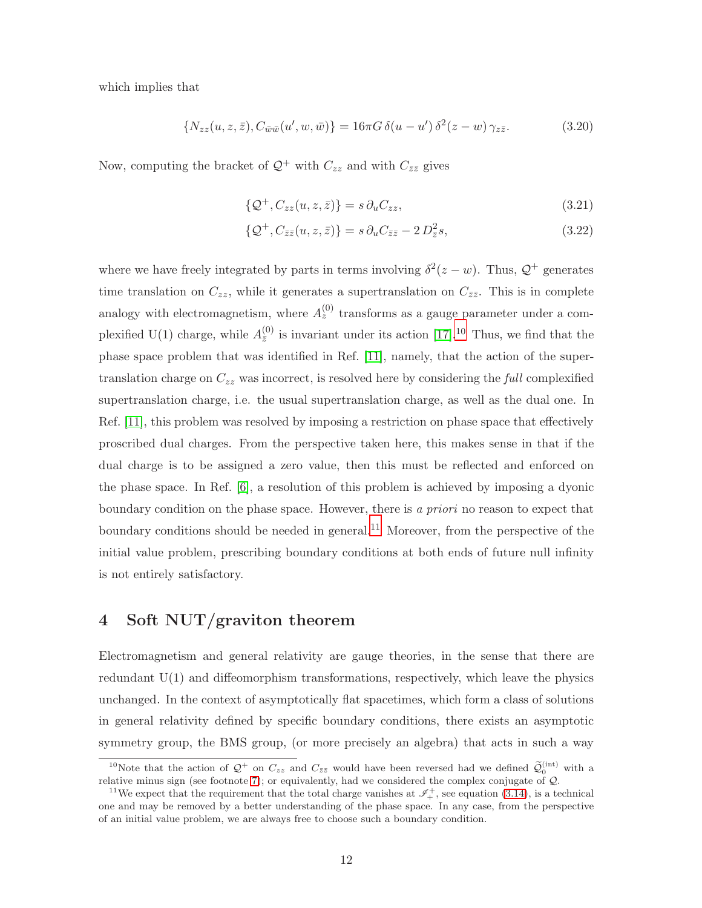which implies that

$$
\{N_{zz}(u,z,\bar{z}), C_{\bar{w}\bar{w}}(u',w,\bar{w})\} = 16\pi G \,\delta(u - u') \,\delta^2(z - w) \,\gamma_{z\bar{z}}.\tag{3.20}
$$

Now, computing the bracket of  $\mathcal{Q}^+$  with  $C_{zz}$  and with  $C_{\bar{z}\bar{z}}$  gives

$$
\{\mathcal{Q}^+, C_{zz}(u, z, \bar{z})\} = s \,\partial_u C_{zz},\tag{3.21}
$$

$$
\{\mathcal{Q}^+, C_{\bar{z}\bar{z}}(u, z, \bar{z})\} = s \,\partial_u C_{\bar{z}\bar{z}} - 2 \,D_{\bar{z}}^2 s,\tag{3.22}
$$

where we have freely integrated by parts in terms involving  $\delta^2(z-w)$ . Thus,  $\mathcal{Q}^+$  generates time translation on  $C_{zz}$ , while it generates a supertranslation on  $C_{\bar{z}\bar{z}}$ . This is in complete analogy with electromagnetism, where  $A_z^{(0)}$  transforms as a gauge parameter under a complexified U(1) charge, while  $A_{\overline{z}}^{(0)}$  is invariant under its action [\[17\]](#page-21-5).<sup>[10](#page-11-1)</sup> Thus, we find that the phase space problem that was identified in Ref. [\[11\]](#page-21-2), namely, that the action of the supertranslation charge on  $C_{zz}$  was incorrect, is resolved here by considering the *full* complexified supertranslation charge, i.e. the usual supertranslation charge, as well as the dual one. In Ref. [\[11\]](#page-21-2), this problem was resolved by imposing a restriction on phase space that effectively proscribed dual charges. From the perspective taken here, this makes sense in that if the dual charge is to be assigned a zero value, then this must be reflected and enforced on the phase space. In Ref. [\[6\]](#page-20-5), a resolution of this problem is achieved by imposing a dyonic boundary condition on the phase space. However, there is *a priori* no reason to expect that boundary conditions should be needed in general.<sup>[11](#page-11-2)</sup> Moreover, from the perspective of the initial value problem, prescribing boundary conditions at both ends of future null infinity is not entirely satisfactory.

# <span id="page-11-0"></span>4 Soft NUT/graviton theorem

Electromagnetism and general relativity are gauge theories, in the sense that there are redundant  $U(1)$  and diffeomorphism transformations, respectively, which leave the physics unchanged. In the context of asymptotically flat spacetimes, which form a class of solutions in general relativity defined by specific boundary conditions, there exists an asymptotic symmetry group, the BMS group, (or more precisely an algebra) that acts in such a way

<span id="page-11-1"></span><sup>&</sup>lt;sup>10</sup>Note that the action of  $\mathcal{Q}^+$  on  $C_{zz}$  and  $C_{\bar{z}\bar{z}}$  would have been reversed had we defined  $\widetilde{\mathcal{Q}}_0^{(\mathrm{int})}$  with a relative minus sign (see footnote [7\)](#page-7-1); or equivalently, had we considered the complex conjugate of  $Q$ .

<span id="page-11-2"></span><sup>&</sup>lt;sup>11</sup>We expect that the requirement that the total charge vanishes at  $\mathscr{I}^+_+$ , see equation [\(3.14\)](#page-10-1), is a technical one and may be removed by a better understanding of the phase space. In any case, from the perspective of an initial value problem, we are always free to choose such a boundary condition.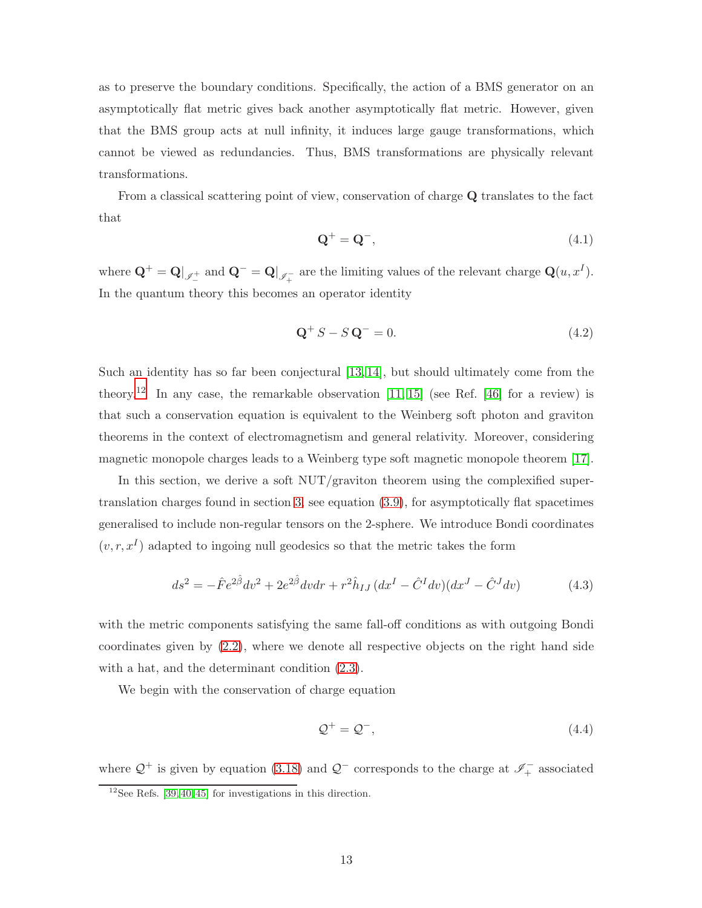as to preserve the boundary conditions. Specifically, the action of a BMS generator on an asymptotically flat metric gives back another asymptotically flat metric. However, given that the BMS group acts at null infinity, it induces large gauge transformations, which cannot be viewed as redundancies. Thus, BMS transformations are physically relevant transformations.

From a classical scattering point of view, conservation of charge Q translates to the fact that

$$
\mathbf{Q}^+ = \mathbf{Q}^-, \tag{4.1}
$$

where  $\mathbf{Q}^+ = \mathbf{Q}|_{\mathscr{I}^+}$  and  $\mathbf{Q}^- = \mathbf{Q}|_{\mathscr{I}^-_+}$  are the limiting values of the relevant charge  $\mathbf{Q}(u, x^I)$ . In the quantum theory this becomes an operator identity

$$
\mathbf{Q}^+ S - S \mathbf{Q}^- = 0. \tag{4.2}
$$

Such an identity has so far been conjectural [\[13,](#page-21-4) [14\]](#page-21-6), but should ultimately come from the theory.<sup>[12](#page-12-0)</sup> In any case, the remarkable observation  $[11, 15]$  $[11, 15]$  (see Ref. [\[46\]](#page-23-10) for a review) is that such a conservation equation is equivalent to the Weinberg soft photon and graviton theorems in the context of electromagnetism and general relativity. Moreover, considering magnetic monopole charges leads to a Weinberg type soft magnetic monopole theorem [\[17\]](#page-21-5).

In this section, we derive a soft  $\text{NUT}/\text{graviton}$  theorem using the complexified supertranslation charges found in section [3,](#page-8-0) see equation [\(3.9\)](#page-9-2), for asymptotically flat spacetimes generalised to include non-regular tensors on the 2-sphere. We introduce Bondi coordinates  $(v, r, x<sup>I</sup>)$  adapted to ingoing null geodesics so that the metric takes the form

$$
ds^{2} = -\hat{F}e^{2\hat{\beta}}dv^{2} + 2e^{2\hat{\beta}}dvdr + r^{2}\hat{h}_{IJ}(dx^{I} - \hat{C}^{I}dv)(dx^{J} - \hat{C}^{J}dv)
$$
(4.3)

with the metric components satisfying the same fall-off conditions as with outgoing Bondi coordinates given by [\(2.2\)](#page-3-3), where we denote all respective objects on the right hand side with a hat, and the determinant condition [\(2.3\)](#page-3-5).

We begin with the conservation of charge equation

$$
\mathcal{Q}^+ = \mathcal{Q}^-, \tag{4.4}
$$

where  $\mathcal{Q}^+$  is given by equation [\(3.18\)](#page-10-2) and  $\mathcal{Q}^-$  corresponds to the charge at  $\mathscr{I}^-_+$  associated

<span id="page-12-0"></span> $12$ See Refs. [\[39,](#page-23-4) [40,](#page-23-5) [45\]](#page-23-11) for investigations in this direction.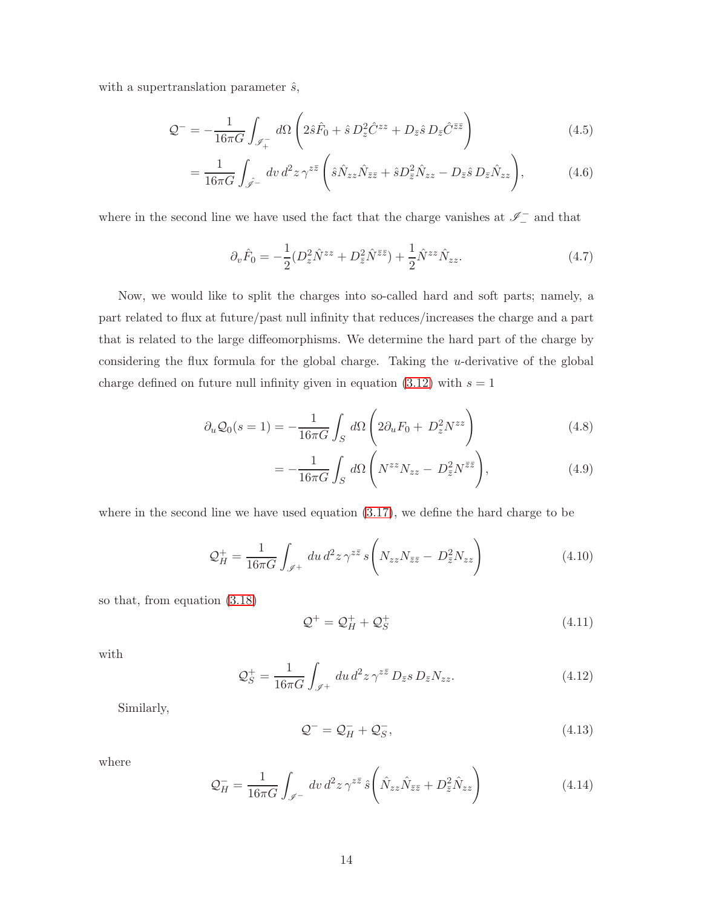with a supertranslation parameter  $\hat{s}$ ,

$$
\mathcal{Q}^- = -\frac{1}{16\pi G} \int_{\mathcal{I}_+^-} d\Omega \left( 2\hat{s}\hat{F}_0 + \hat{s} D_z^2 \hat{C}^{zz} + D_{\bar{z}}\hat{s} D_{\bar{z}}\hat{C}^{\bar{z}\bar{z}} \right) \tag{4.5}
$$

$$
= \frac{1}{16\pi G} \int_{\hat{\mathscr{I}}-} dv \, d^2 z \, \gamma^{z\bar{z}} \left( \hat{s} \hat{N}_{zz} \hat{N}_{\bar{z}\bar{z}} + \hat{s} D_{\bar{z}}^2 \hat{N}_{zz} - D_{\bar{z}} \hat{s} D_{\bar{z}} \hat{N}_{zz} \right), \tag{4.6}
$$

where in the second line we have used the fact that the charge vanishes at  $\mathscr{I}^-$  and that

$$
\partial_v \hat{F}_0 = -\frac{1}{2} (D_z^2 \hat{N}^{zz} + D_{\bar{z}}^2 \hat{N}^{\bar{z}\bar{z}}) + \frac{1}{2} \hat{N}^{zz} \hat{N}_{zz}.
$$
 (4.7)

Now, we would like to split the charges into so-called hard and soft parts; namely, a part related to flux at future/past null infinity that reduces/increases the charge and a part that is related to the large diffeomorphisms. We determine the hard part of the charge by considering the flux formula for the global charge. Taking the u-derivative of the global charge defined on future null infinity given in equation  $(3.12)$  with  $s = 1$ 

$$
\partial_u \mathcal{Q}_0(s=1) = -\frac{1}{16\pi G} \int_S d\Omega \left( 2\partial_u F_0 + D_z^2 N^{zz} \right) \tag{4.8}
$$

$$
= -\frac{1}{16\pi G} \int_{S} d\Omega \left( N^{zz} N_{zz} - D_{\bar{z}}^2 N^{\bar{z}\bar{z}} \right), \tag{4.9}
$$

where in the second line we have used equation [\(3.17\)](#page-10-4), we define the hard charge to be

$$
\mathcal{Q}_H^+ = \frac{1}{16\pi G} \int_{\mathscr{I}^+} du \, d^2 z \, \gamma^{z\bar{z}} \, s \left( N_{zz} N_{\bar{z}\bar{z}} - D_{\bar{z}}^2 N_{zz} \right) \tag{4.10}
$$

so that, from equation [\(3.18\)](#page-10-2)

$$
\mathcal{Q}^+ = \mathcal{Q}_H^+ + \mathcal{Q}_S^+ \tag{4.11}
$$

with

$$
\mathcal{Q}_S^+ = \frac{1}{16\pi G} \int_{\mathscr{I}^+} du \, d^2 z \, \gamma^{z\bar{z}} \, D_{\bar{z}} s \, D_{\bar{z}} N_{zz}.
$$
\n
$$
\tag{4.12}
$$

Similarly,

$$
\mathcal{Q}^- = \mathcal{Q}_H^- + \mathcal{Q}_S^-, \tag{4.13}
$$

where

$$
\mathcal{Q}_H^- = \frac{1}{16\pi G} \int_{\mathscr{I}^-} dv \, d^2 z \, \gamma^{z\bar{z}} \, \hat{s} \left( \hat{N}_{zz} \hat{N}_{\bar{z}\bar{z}} + D_{\bar{z}}^2 \hat{N}_{zz} \right) \tag{4.14}
$$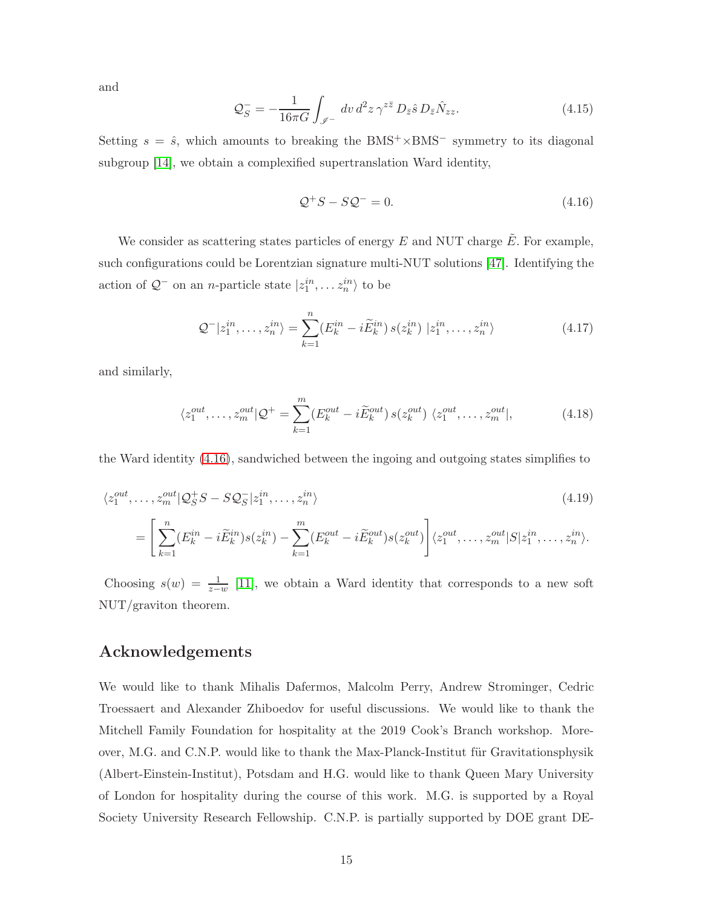and

$$
\mathcal{Q}_S^- = -\frac{1}{16\pi G} \int_{\mathscr{I}^-} dv \, d^2 z \, \gamma^{z\bar{z}} \, D_{\bar{z}} \hat{s} \, D_{\bar{z}} \hat{N}_{zz}.
$$
\n
$$
\tag{4.15}
$$

Setting  $s = \hat{s}$ , which amounts to breaking the BMS<sup>+</sup>×BMS<sup>-</sup> symmetry to its diagonal subgroup [\[14\]](#page-21-6), we obtain a complexified supertranslation Ward identity,

<span id="page-14-0"></span>
$$
\mathcal{Q}^+S - S\mathcal{Q}^- = 0. \tag{4.16}
$$

We consider as scattering states particles of energy  $E$  and NUT charge  $\tilde{E}$ . For example, such configurations could be Lorentzian signature multi-NUT solutions [\[47\]](#page-24-0). Identifying the action of  $\mathcal{Q}^-$  on an *n*-particle state  $|z_1^{in}, \dots z_n^{in} \rangle$  to be

$$
\mathcal{Q}^{-}|z_1^{in},\ldots,z_n^{in}\rangle = \sum_{k=1}^n (E_k^{in} - i\widetilde{E}_k^{in}) s(z_k^{in}) |z_1^{in},\ldots,z_n^{in}\rangle
$$
 (4.17)

and similarly,

$$
\langle z_1^{out}, \dots, z_m^{out} | \mathcal{Q}^+ = \sum_{k=1}^m (E_k^{out} - i \tilde{E}_k^{out}) s(z_k^{out}) \langle z_1^{out}, \dots, z_m^{out} |,
$$
 (4.18)

the Ward identity [\(4.16\)](#page-14-0), sandwiched between the ingoing and outgoing states simplifies to

$$
\langle z_1^{out}, \dots, z_m^{out} | \mathcal{Q}_S^+ S - S \mathcal{Q}_S^- | z_1^{in}, \dots, z_n^{in} \rangle \tag{4.19}
$$

$$
= \left[ \sum_{k=1}^n (E_k^{in} - i \widetilde{E}_k^{in}) s(z_k^{in}) - \sum_{k=1}^m (E_k^{out} - i \widetilde{E}_k^{out}) s(z_k^{out}) \right] \langle z_1^{out}, \dots, z_m^{out} | S | z_1^{in}, \dots, z_n^{in} \rangle.
$$

Choosing  $s(w) = \frac{1}{z-w}$  [\[11\]](#page-21-2), we obtain a Ward identity that corresponds to a new soft NUT/graviton theorem.

# Acknowledgements

We would like to thank Mihalis Dafermos, Malcolm Perry, Andrew Strominger, Cedric Troessaert and Alexander Zhiboedov for useful discussions. We would like to thank the Mitchell Family Foundation for hospitality at the 2019 Cook's Branch workshop. Moreover, M.G. and C.N.P. would like to thank the Max-Planck-Institut für Gravitationsphysik (Albert-Einstein-Institut), Potsdam and H.G. would like to thank Queen Mary University of London for hospitality during the course of this work. M.G. is supported by a Royal Society University Research Fellowship. C.N.P. is partially supported by DOE grant DE-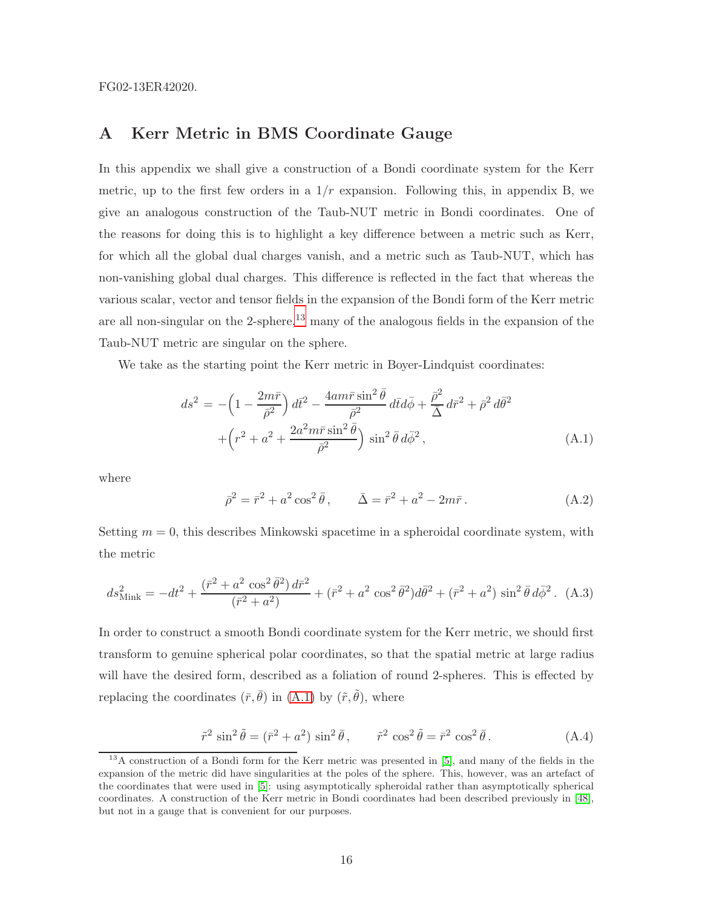FG02-13ER42020.

# A Kerr Metric in BMS Coordinate Gauge

In this appendix we shall give a construction of a Bondi coordinate system for the Kerr metric, up to the first few orders in a  $1/r$  expansion. Following this, in appendix B, we give an analogous construction of the Taub-NUT metric in Bondi coordinates. One of the reasons for doing this is to highlight a key difference between a metric such as Kerr, for which all the global dual charges vanish, and a metric such as Taub-NUT, which has non-vanishing global dual charges. This difference is reflected in the fact that whereas the various scalar, vector and tensor fields in the expansion of the Bondi form of the Kerr metric are all non-singular on the 2-sphere, $^{13}$  $^{13}$  $^{13}$  many of the analogous fields in the expansion of the Taub-NUT metric are singular on the sphere.

We take as the starting point the Kerr metric in Boyer-Lindquist coordinates:

<span id="page-15-1"></span>
$$
ds^{2} = -\left(1 - \frac{2m\bar{r}}{\bar{\rho}^{2}}\right) d\bar{t}^{2} - \frac{4am\bar{r}\sin^{2}\bar{\theta}}{\bar{\rho}^{2}} d\bar{t}d\bar{\phi} + \frac{\bar{\rho}^{2}}{\bar{\Delta}} d\bar{r}^{2} + \bar{\rho}^{2} d\bar{\theta}^{2}
$$

$$
+ \left(r^{2} + a^{2} + \frac{2a^{2}m\bar{r}\sin^{2}\bar{\theta}}{\bar{\rho}^{2}}\right)\sin^{2}\bar{\theta} d\bar{\phi}^{2}, \qquad (A.1)
$$

where

$$
\bar{\rho}^2 = \bar{r}^2 + a^2 \cos^2 \bar{\theta}, \qquad \bar{\Delta} = \bar{r}^2 + a^2 - 2m\bar{r}.
$$
 (A.2)

Setting  $m = 0$ , this describes Minkowski spacetime in a spheroidal coordinate system, with the metric

<span id="page-15-2"></span>
$$
ds_{\text{Mink}}^2 = -dt^2 + \frac{(\bar{r}^2 + a^2 \cos^2 \bar{\theta}^2) d\bar{r}^2}{(\bar{r}^2 + a^2)} + (\bar{r}^2 + a^2 \cos^2 \bar{\theta}^2) d\bar{\theta}^2 + (\bar{r}^2 + a^2) \sin^2 \bar{\theta} d\bar{\phi}^2. (A.3)
$$

In order to construct a smooth Bondi coordinate system for the Kerr metric, we should first transform to genuine spherical polar coordinates, so that the spatial metric at large radius will have the desired form, described as a foliation of round 2-spheres. This is effected by replacing the coordinates  $(\bar{r}, \bar{\theta})$  in  $(A.1)$  by  $(\tilde{r}, \tilde{\theta})$ , where

<span id="page-15-3"></span>
$$
\tilde{r}^2 \sin^2 \tilde{\theta} = (\bar{r}^2 + a^2) \sin^2 \bar{\theta}, \qquad \tilde{r}^2 \cos^2 \tilde{\theta} = \bar{r}^2 \cos^2 \bar{\theta}.
$$
 (A.4)

<span id="page-15-0"></span><sup>&</sup>lt;sup>13</sup>A construction of a Bondi form for the Kerr metric was presented in [\[5\]](#page-20-3), and many of the fields in the expansion of the metric did have singularities at the poles of the sphere. This, however, was an artefact of the coordinates that were used in [\[5\]](#page-20-3): using asymptotically spheroidal rather than asymptotically spherical coordinates. A construction of the Kerr metric in Bondi coordinates had been described previously in [\[48\]](#page-24-1), but not in a gauge that is convenient for our purposes.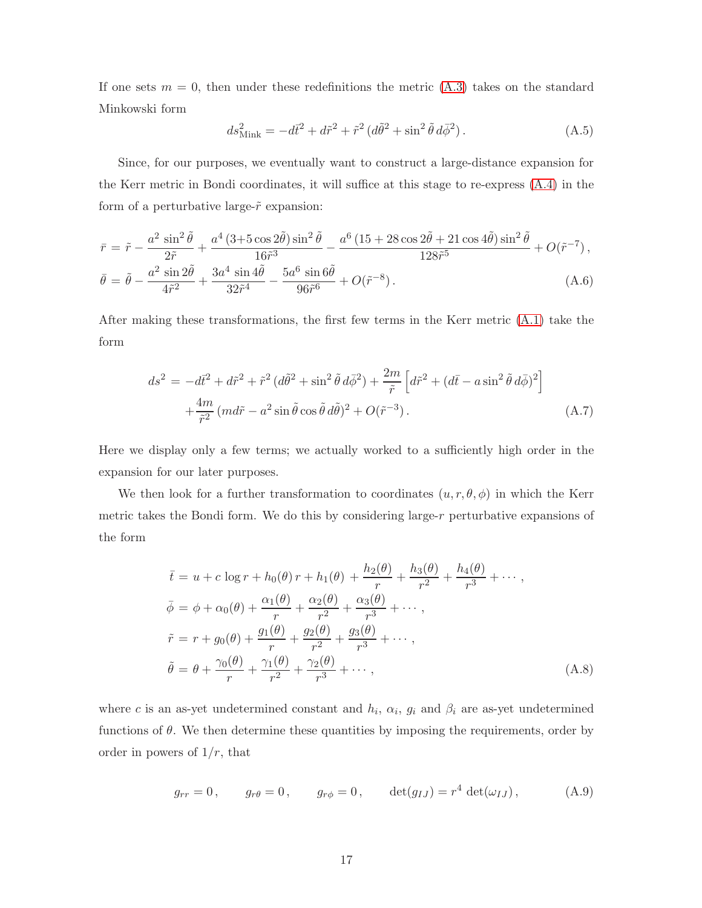If one sets  $m = 0$ , then under these redefinitions the metric  $(A.3)$  takes on the standard Minkowski form

$$
ds_{\text{Mink}}^{2} = -d\bar{t}^{2} + d\tilde{r}^{2} + \tilde{r}^{2} (d\tilde{\theta}^{2} + \sin^{2} \tilde{\theta} d\bar{\phi}^{2}). \qquad (A.5)
$$

Since, for our purposes, we eventually want to construct a large-distance expansion for the Kerr metric in Bondi coordinates, it will suffice at this stage to re-express [\(A.4\)](#page-15-3) in the form of a perturbative large- $\tilde{r}$  expansion:

$$
\bar{r} = \tilde{r} - \frac{a^2 \sin^2 \tilde{\theta}}{2\tilde{r}} + \frac{a^4 (3 + 5 \cos 2\tilde{\theta}) \sin^2 \tilde{\theta}}{16\tilde{r}^3} - \frac{a^6 (15 + 28 \cos 2\tilde{\theta} + 21 \cos 4\tilde{\theta}) \sin^2 \tilde{\theta}}{128\tilde{r}^5} + O(\tilde{r}^{-7}),
$$
  

$$
\bar{\theta} = \tilde{\theta} - \frac{a^2 \sin 2\tilde{\theta}}{4\tilde{r}^2} + \frac{3a^4 \sin 4\tilde{\theta}}{32\tilde{r}^4} - \frac{5a^6 \sin 6\tilde{\theta}}{96\tilde{r}^6} + O(\tilde{r}^{-8}).
$$
 (A.6)

After making these transformations, the first few terms in the Kerr metric [\(A.1\)](#page-15-1) take the form

$$
ds^{2} = -d\tilde{t}^{2} + d\tilde{r}^{2} + \tilde{r}^{2} (d\tilde{\theta}^{2} + \sin^{2} \tilde{\theta} d\bar{\phi}^{2}) + \frac{2m}{\tilde{r}} \left[ d\tilde{r}^{2} + (d\bar{t} - a\sin^{2} \tilde{\theta} d\bar{\phi})^{2} \right] + \frac{4m}{\tilde{r}^{2}} (md\tilde{r} - a^{2}\sin \tilde{\theta} \cos \tilde{\theta} d\tilde{\theta})^{2} + O(\tilde{r}^{-3}).
$$
\n(A.7)

Here we display only a few terms; we actually worked to a sufficiently high order in the expansion for our later purposes.

We then look for a further transformation to coordinates  $(u, r, \theta, \phi)$  in which the Kerr metric takes the Bondi form. We do this by considering large-r perturbative expansions of the form

<span id="page-16-1"></span>
$$
\bar{t} = u + c \log r + h_0(\theta) r + h_1(\theta) + \frac{h_2(\theta)}{r} + \frac{h_3(\theta)}{r^2} + \frac{h_4(\theta)}{r^3} + \cdots,
$$
  
\n
$$
\bar{\phi} = \phi + \alpha_0(\theta) + \frac{\alpha_1(\theta)}{r} + \frac{\alpha_2(\theta)}{r^2} + \frac{\alpha_3(\theta)}{r^3} + \cdots,
$$
  
\n
$$
\tilde{r} = r + g_0(\theta) + \frac{g_1(\theta)}{r} + \frac{g_2(\theta)}{r^2} + \frac{g_3(\theta)}{r^3} + \cdots,
$$
  
\n
$$
\tilde{\theta} = \theta + \frac{\gamma_0(\theta)}{r} + \frac{\gamma_1(\theta)}{r^2} + \frac{\gamma_2(\theta)}{r^3} + \cdots,
$$
\n(A.8)

where c is an as-yet undetermined constant and  $h_i$ ,  $\alpha_i$ ,  $g_i$  and  $\beta_i$  are as-yet undetermined functions of  $\theta$ . We then determine these quantities by imposing the requirements, order by order in powers of  $1/r$ , that

<span id="page-16-0"></span>
$$
g_{rr} = 0
$$
,  $g_{r\theta} = 0$ ,  $g_{r\phi} = 0$ ,  $det(g_{IJ}) = r^4 det(\omega_{IJ})$ , (A.9)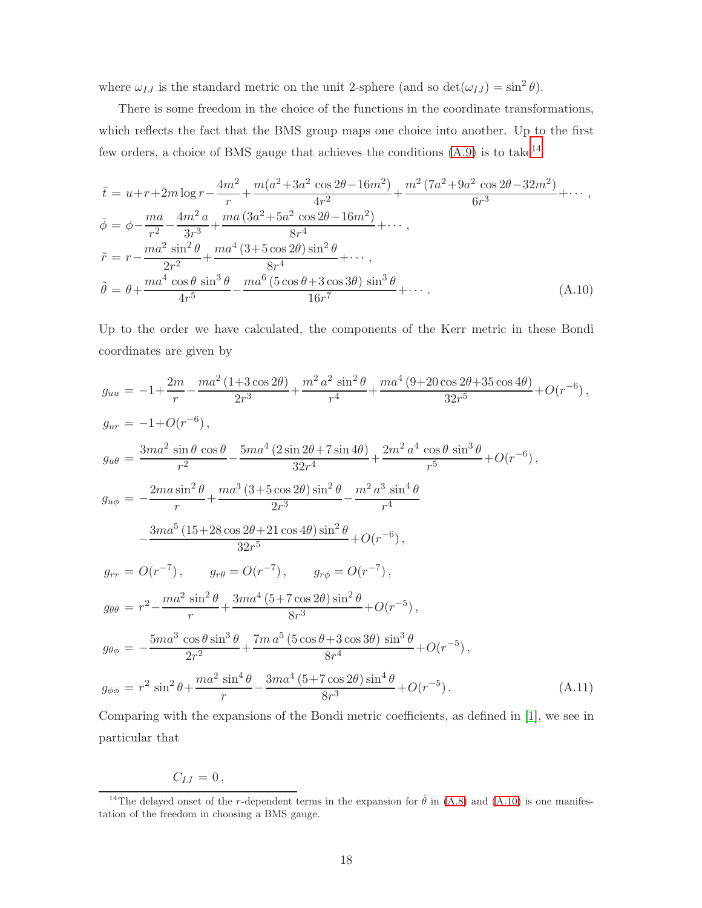where  $\omega_{IJ}$  is the standard metric on the unit 2-sphere (and so  $\det(\omega_{IJ}) = \sin^2 \theta$ ).

There is some freedom in the choice of the functions in the coordinate transformations, which reflects the fact that the BMS group maps one choice into another. Up to the first few orders, a choice of BMS gauge that achieves the conditions  $(A.9)$  is to take<sup>[14](#page-17-0)</sup>

<span id="page-17-1"></span>
$$
\bar{t} = u + r + 2m \log r - \frac{4m^2}{r} + \frac{m(a^2 + 3a^2 \cos 2\theta - 16m^2)}{4r^2} + \frac{m^2 (7a^2 + 9a^2 \cos 2\theta - 32m^2)}{6r^3} + \cdots,
$$
  
\n
$$
\bar{\phi} = \phi - \frac{ma}{r^2} - \frac{4m^2 a}{3r^3} + \frac{ma (3a^2 + 5a^2 \cos 2\theta - 16m^2)}{8r^4} + \cdots,
$$
  
\n
$$
\tilde{r} = r - \frac{ma^2 \sin^2 \theta}{2r^2} + \frac{ma^4 (3 + 5 \cos 2\theta) \sin^2 \theta}{8r^4} + \cdots,
$$
  
\n
$$
\tilde{\theta} = \theta + \frac{ma^4 \cos \theta \sin^3 \theta}{4r^5} - \frac{ma^6 (5 \cos \theta + 3 \cos 3\theta) \sin^3 \theta}{16r^7} + \cdots.
$$
 (A.10)

Up to the order we have calculated, the components of the Kerr metric in these Bondi coordinates are given by

$$
g_{uu} = -1 + \frac{2m}{r} - \frac{ma^2 (1+3 \cos 2\theta)}{2r^3} + \frac{m^2 a^2 \sin^2 \theta}{r^4} + \frac{ma^4 (9+20 \cos 2\theta + 35 \cos 4\theta)}{32r^5} + O(r^{-6}),
$$
  
\n
$$
g_{ur} = -1 + O(r^{-6}),
$$
  
\n
$$
g_{u\theta} = \frac{3ma^2 \sin \theta \cos \theta}{r^2} - \frac{5ma^4 (2 \sin 2\theta + 7 \sin 4\theta)}{32r^4} + \frac{2m^2 a^4 \cos \theta \sin^3 \theta}{r^5} + O(r^{-6}),
$$
  
\n
$$
g_{u\phi} = -\frac{2ma \sin^2 \theta}{r} + \frac{ma^3 (3+5 \cos 2\theta) \sin^2 \theta}{2r^3} - \frac{m^2 a^3 \sin^4 \theta}{r^4}
$$
  
\n
$$
-\frac{3ma^5 (15+28 \cos 2\theta + 21 \cos 4\theta) \sin^2 \theta}{32r^5} + O(r^{-6}),
$$
  
\n
$$
g_{rr} = O(r^{-7}), \qquad g_{r\theta} = O(r^{-7}), \qquad g_{r\phi} = O(r^{-7}),
$$
  
\n
$$
g_{\theta\theta} = r^2 - \frac{ma^2 \sin^2 \theta}{r} + \frac{3ma^4 (5+7 \cos 2\theta) \sin^2 \theta}{8r^3} + O(r^{-5}),
$$
  
\n
$$
g_{\theta\phi} = -\frac{5ma^3 \cos \theta \sin^3 \theta}{2r^2} + \frac{7ma^5 (5 \cos \theta + 3 \cos 3\theta) \sin^3 \theta}{8r^4} + O(r^{-5}).
$$
  
\n
$$
g_{\phi\phi} = r^2 \sin^2 \theta + \frac{ma^2 \sin^4 \theta}{r} - \frac{3ma^4 (5+7 \cos 2\theta) \sin^4 \theta}{8r^3} + O(r^{-5}).
$$
  
\n(A.11)

Comparing with the expansions of the Bondi metric coefficients, as defined in [\[1\]](#page-20-0), we see in particular that

$$
C_{IJ}=0\,,
$$

<span id="page-17-0"></span><sup>&</sup>lt;sup>14</sup>The delayed onset of the r-dependent terms in the expansion for  $\tilde{\theta}$  in [\(A.8\)](#page-16-1) and [\(A.10\)](#page-17-1) is one manifestation of the freedom in choosing a BMS gauge.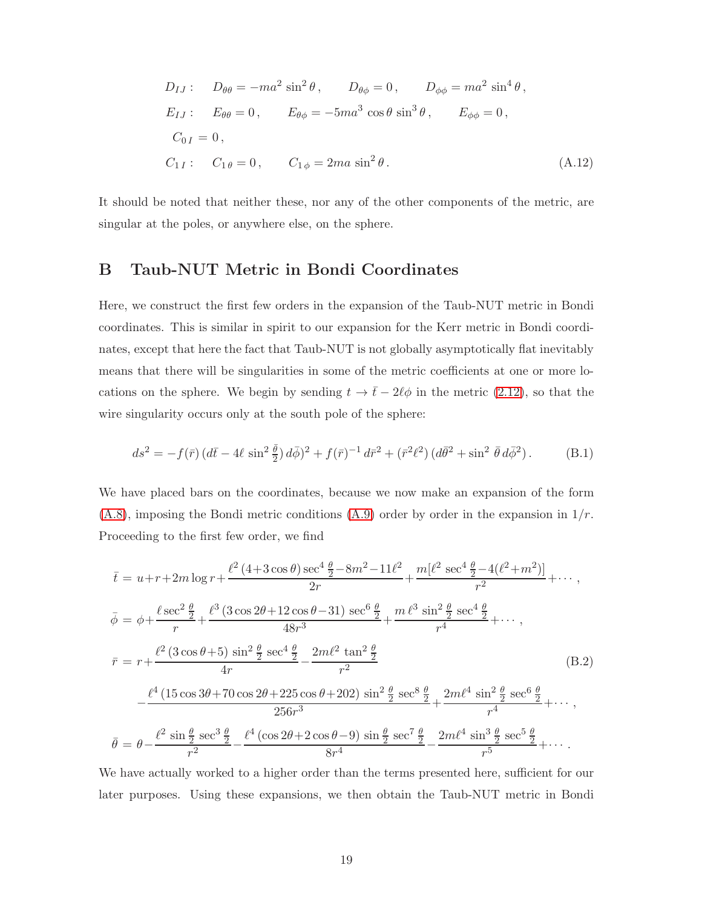$$
D_{IJ}: \t D_{\theta\theta} = -ma^2 \sin^2 \theta, \t D_{\theta\phi} = 0, \t D_{\phi\phi} = ma^2 \sin^4 \theta,
$$
  
\n
$$
E_{IJ}: \t E_{\theta\theta} = 0, \t E_{\theta\phi} = -5ma^3 \cos \theta \sin^3 \theta, \t E_{\phi\phi} = 0,
$$
  
\n
$$
C_{0I} = 0,
$$
  
\n
$$
C_{1I}: \t C_{1\theta} = 0, \t C_{1\phi} = 2ma \sin^2 \theta.
$$
\t(A.12)

<span id="page-18-0"></span>It should be noted that neither these, nor any of the other components of the metric, are singular at the poles, or anywhere else, on the sphere.

# B Taub-NUT Metric in Bondi Coordinates

Here, we construct the first few orders in the expansion of the Taub-NUT metric in Bondi coordinates. This is similar in spirit to our expansion for the Kerr metric in Bondi coordinates, except that here the fact that Taub-NUT is not globally asymptotically flat inevitably means that there will be singularities in some of the metric coefficients at one or more locations on the sphere. We begin by sending  $t \to \bar{t} - 2\ell\phi$  in the metric [\(2.12\)](#page-5-1), so that the wire singularity occurs only at the south pole of the sphere:

$$
ds^{2} = -f(\bar{r})\left(d\bar{t} - 4\ell\sin^{2}\frac{\bar{\theta}}{2}\right)d\bar{\phi}\right)^{2} + f(\bar{r})^{-1}d\bar{r}^{2} + (\bar{r}^{2}\ell^{2})\left(d\bar{\theta}^{2} + \sin^{2}\bar{\theta}\,d\bar{\phi}^{2}\right).
$$
 (B.1)

We have placed bars on the coordinates, because we now make an expansion of the form  $(A.8)$ , imposing the Bondi metric conditions  $(A.9)$  order by order in the expansion in  $1/r$ . Proceeding to the first few order, we find

$$
\bar{t} = u + r + 2m \log r + \frac{\ell^2 (4 + 3 \cos \theta) \sec^4 \frac{\theta}{2} - 8m^2 - 11\ell^2}{2r} + \frac{m[\ell^2 \sec^4 \frac{\theta}{2} - 4(\ell^2 + m^2)]}{r^2} + \cdots,
$$
\n
$$
\bar{\phi} = \phi + \frac{\ell \sec^2 \frac{\theta}{2}}{r} + \frac{\ell^3 (3 \cos 2\theta + 12 \cos \theta - 31) \sec^6 \frac{\theta}{2}}{48r^3} + \frac{m \ell^3 \sin^2 \frac{\theta}{2} \sec^4 \frac{\theta}{2}}{r^4} + \cdots,
$$
\n
$$
\bar{r} = r + \frac{\ell^2 (3 \cos \theta + 5) \sin^2 \frac{\theta}{2} \sec^4 \frac{\theta}{2}}{4r} - \frac{2m\ell^2 \tan^2 \frac{\theta}{2}}{r^2}
$$
\n
$$
-\frac{\ell^4 (15 \cos 3\theta + 70 \cos 2\theta + 225 \cos \theta + 202) \sin^2 \frac{\theta}{2} \sec^8 \frac{\theta}{2}}{256r^3} + \frac{2m\ell^4 \sin^2 \frac{\theta}{2} \sec^6 \frac{\theta}{2}}{r^4} + \cdots,
$$
\n
$$
\bar{\theta} = \theta - \frac{\ell^2 \sin \frac{\theta}{2} \sec^3 \frac{\theta}{2}}{r^2} - \frac{\ell^4 (\cos 2\theta + 2 \cos \theta - 9) \sin \frac{\theta}{2} \sec^7 \frac{\theta}{2}}{8r^4} - \frac{2m\ell^4 \sin^3 \frac{\theta}{2} \sec^5 \frac{\theta}{2}}{r^5} + \cdots.
$$
\n(B.2)

We have actually worked to a higher order than the terms presented here, sufficient for our later purposes. Using these expansions, we then obtain the Taub-NUT metric in Bondi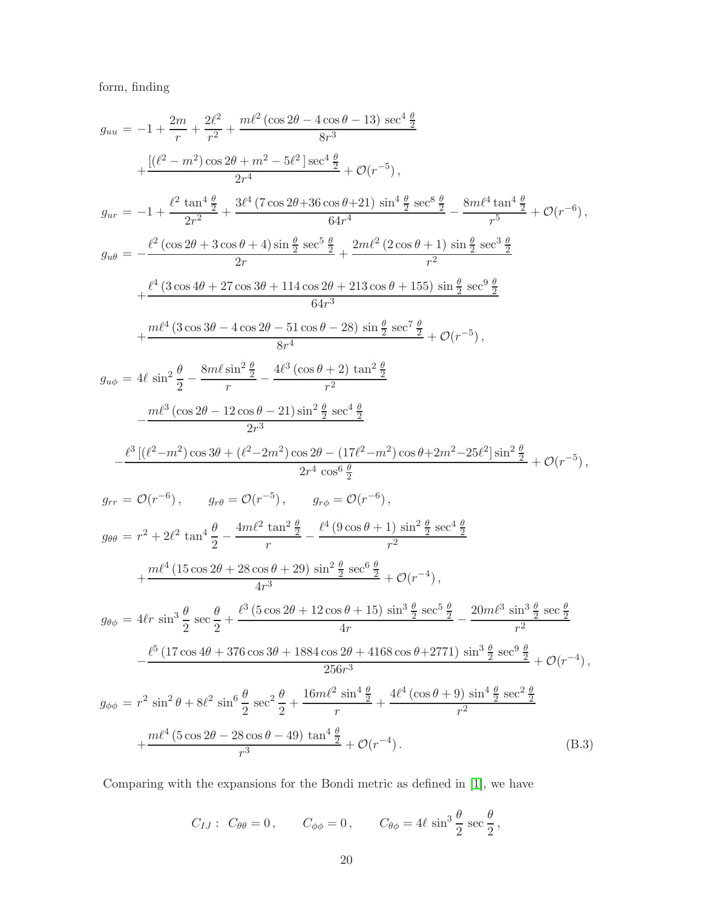form, finding

$$
\begin{split} g_{uu} & = -1 + \frac{2m}{r} + \frac{2\ell^2}{r^2} + \frac{m\ell^2(\cos 2\theta - 4\cos \theta - 13) \sec^4 \frac{\theta}{2}}{8r^3} \\ & + \frac{[(\ell^2 - m^2)\cos 2\theta + m^2 - 5\ell^2] \sec^4 \frac{\theta}{2}}{2r^4} + \mathcal{O}(r^{-5}), \\ g_{ur} & = -1 + \frac{\ell^2 \tan^4 \frac{\theta}{2}}{2r^2} + \frac{3\ell^4 (7\cos 2\theta + 36\cos \theta + 21) \sin^4 \frac{\theta}{2} \sec^8 \frac{\theta}{2}}{64r^4} - \frac{8m\ell^4 \tan^4 \frac{\theta}{2}}{r^5} + \mathcal{O}(r^{-6}), \\ g_{u\theta} & = -\frac{\ell^2(\cos 2\theta + 3\cos \theta + 4) \sin \frac{\theta}{2} \sec^5 \frac{\theta}{2}}{2r} + \frac{2m\ell^2(2\cos \theta + 1) \sin \frac{\theta}{2} \sec^3 \frac{\theta}{2}}{64r^3} \\ & + \frac{\ell^4(3\cos 4\theta + 27\cos 3\theta + 114\cos 2\theta + 213\cos \theta + 155) \sin \frac{\theta}{2} \sec^3 \frac{\theta}{2}}{64r^3} \\ & + \frac{m\ell^4(3\cos 3\theta - 4\cos 2\theta - 51\cos \theta - 28) \sin \frac{\theta}{2} \sec^7 \frac{\theta}{2}}{64r^3} + \mathcal{O}(r^{-5}), \\ g_{u\phi} & = 4\ell \sin^2 \frac{\theta}{2} - \frac{8m\ell \sin^2 \frac{\theta}{2}}{r^2} - \frac{4\ell^3(\cos \theta + 2) \tan^2 \frac{\theta}{2}}{2r^3} \\ & - \frac{m\ell^3(\cos 2\theta - 12\cos \theta - 21) \sin^2 \frac{\theta}{2} \sec^4 \frac{\theta}{2}}{2r^3} \\ & - \frac{\ell^3[(\ell^2 - m^2)\cos 3\theta + (\ell^2 - 2m^2)\cos 2\theta - (17\ell^2 - m^2)\cos \theta + 2m^2 - 25\ell^2] \sin^2 \frac{\theta}{2}}{2r^
$$

Comparing with the expansions for the Bondi metric as defined in [\[1\]](#page-20-0), we have

$$
C_{IJ}: C_{\theta\theta} = 0
$$
,  $C_{\phi\phi} = 0$ ,  $C_{\theta\phi} = 4\ell \sin^3 \frac{\theta}{2} \sec \frac{\theta}{2}$ ,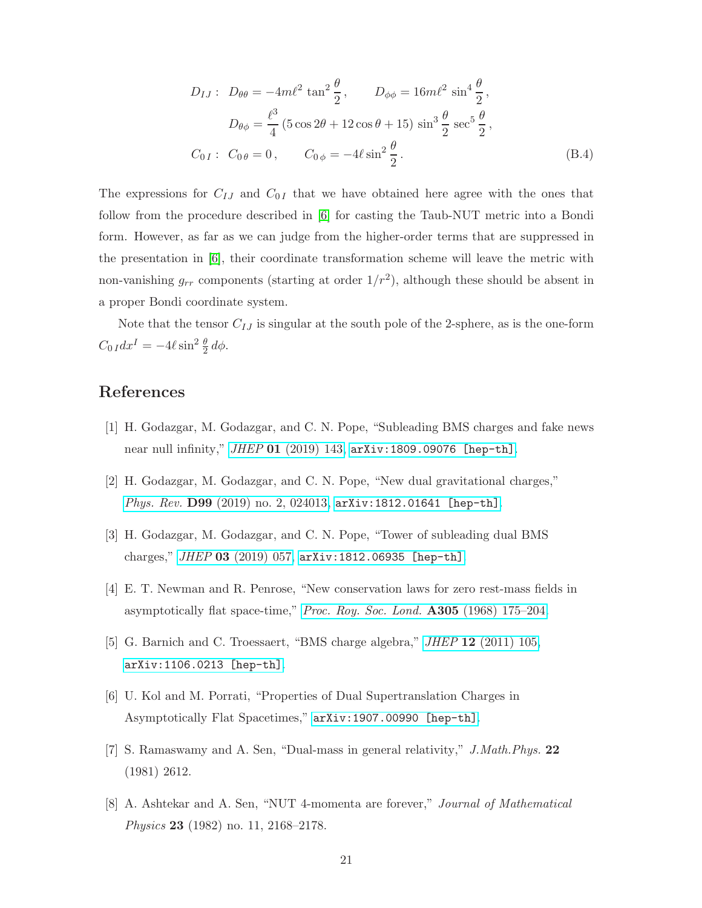$$
D_{IJ}: D_{\theta\theta} = -4m\ell^2 \tan^2 \frac{\theta}{2}, \qquad D_{\phi\phi} = 16m\ell^2 \sin^4 \frac{\theta}{2},
$$
  

$$
D_{\theta\phi} = \frac{\ell^3}{4} (5\cos 2\theta + 12\cos \theta + 15) \sin^3 \frac{\theta}{2} \sec^5 \frac{\theta}{2},
$$
  

$$
C_{0I}: C_{0\theta} = 0, \qquad C_{0\phi} = -4\ell \sin^2 \frac{\theta}{2}.
$$
 (B.4)

The expressions for  $C_{IJ}$  and  $C_{0I}$  that we have obtained here agree with the ones that follow from the procedure described in [\[6\]](#page-20-5) for casting the Taub-NUT metric into a Bondi form. However, as far as we can judge from the higher-order terms that are suppressed in the presentation in [\[6\]](#page-20-5), their coordinate transformation scheme will leave the metric with non-vanishing  $g_{rr}$  components (starting at order  $1/r^2$ ), although these should be absent in a proper Bondi coordinate system.

Note that the tensor  $C_{IJ}$  is singular at the south pole of the 2-sphere, as is the one-form  $C_{0 I} dx^{I} = -4\ell \sin^{2} \frac{\theta}{2} d\phi.$ 

# <span id="page-20-0"></span>References

- <span id="page-20-4"></span>[1] H. Godazgar, M. Godazgar, and C. N. Pope, "Subleading BMS charges and fake news near null infinity," *JHEP* 01 [\(2019\) 143,](http://dx.doi.org/10.1007/JHEP01(2019)143) [arXiv:1809.09076 \[hep-th\]](http://arxiv.org/abs/1809.09076).
- <span id="page-20-1"></span>[2] H. Godazgar, M. Godazgar, and C. N. Pope, "New dual gravitational charges," *Phys. Rev.* D99 [\(2019\) no. 2, 024013,](http://dx.doi.org/10.1103/PhysRevD.99.024013) [arXiv:1812.01641 \[hep-th\]](http://arxiv.org/abs/1812.01641).
- <span id="page-20-2"></span>[3] H. Godazgar, M. Godazgar, and C. N. Pope, "Tower of subleading dual BMS charges," *JHEP* 03 [\(2019\) 057,](http://dx.doi.org/10.1007/JHEP03(2019)057) [arXiv:1812.06935 \[hep-th\]](http://arxiv.org/abs/1812.06935).
- <span id="page-20-3"></span>[4] E. T. Newman and R. Penrose, "New conservation laws for zero rest-mass fields in asymptotically flat space-time," *[Proc. Roy. Soc. Lond.](http://dx.doi.org/10.1098/rspa.1968.0112)* A305 (1968) 175–204.
- <span id="page-20-5"></span>[5] G. Barnich and C. Troessaert, "BMS charge algebra," *JHEP* 12 [\(2011\) 105,](http://dx.doi.org/10.1007/JHEP12(2011)105) [arXiv:1106.0213 \[hep-th\]](http://arxiv.org/abs/1106.0213).
- <span id="page-20-6"></span>[6] U. Kol and M. Porrati, "Properties of Dual Supertranslation Charges in Asymptotically Flat Spacetimes," [arXiv:1907.00990 \[hep-th\]](http://arxiv.org/abs/1907.00990).
- <span id="page-20-7"></span>[7] S. Ramaswamy and A. Sen, "Dual-mass in general relativity," *J.Math.Phys.* 22 (1981) 2612.
- [8] A. Ashtekar and A. Sen, "NUT 4-momenta are forever," *Journal of Mathematical Physics* **23** (1982) no. 11, 2168–2178.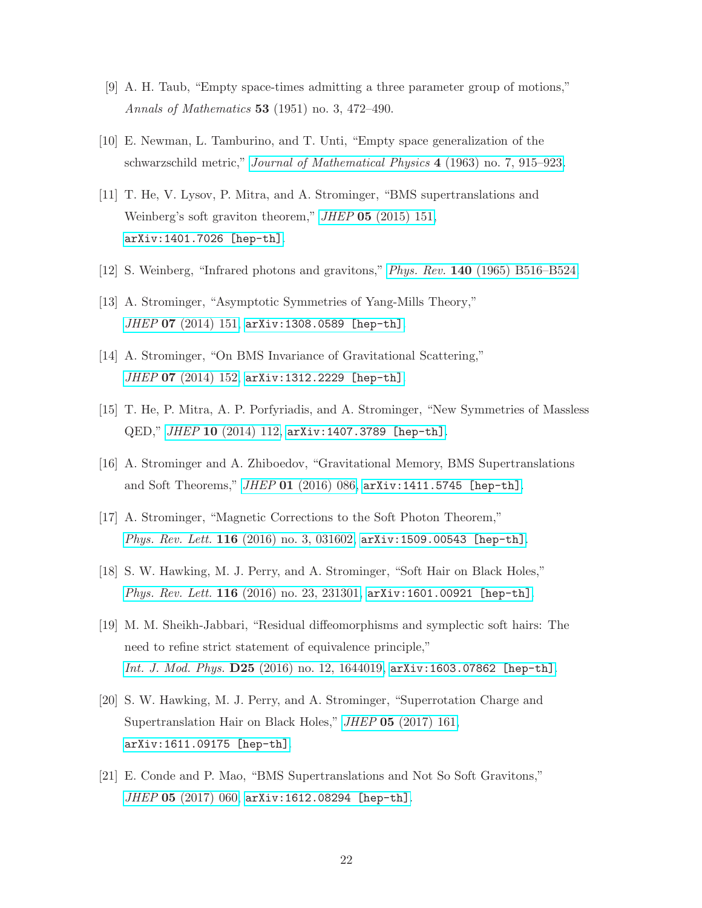- <span id="page-21-1"></span><span id="page-21-0"></span>[9] A. H. Taub, "Empty space-times admitting a three parameter group of motions," *Annals of Mathematics* 53 (1951) no. 3, 472–490.
- <span id="page-21-2"></span>[10] E. Newman, L. Tamburino, and T. Unti, "Empty space generalization of the schwarzschild metric," *[Journal of Mathematical Physics](http://dx.doi.org/10.1063/1.1704018)* 4 (1963) no. 7, 915–923.
- [11] T. He, V. Lysov, P. Mitra, and A. Strominger, "BMS supertranslations and Weinberg's soft graviton theorem," *JHEP* 05 [\(2015\) 151,](http://dx.doi.org/10.1007/JHEP05(2015)151) [arXiv:1401.7026 \[hep-th\]](http://arxiv.org/abs/1401.7026).
- <span id="page-21-4"></span><span id="page-21-3"></span>[12] S. Weinberg, "Infrared photons and gravitons," *Phys. Rev.* 140 [\(1965\) B516–B524.](http://dx.doi.org/10.1103/PhysRev.140.B516)
- <span id="page-21-6"></span>[13] A. Strominger, "Asymptotic Symmetries of Yang-Mills Theory," *JHEP* 07 [\(2014\) 151,](http://dx.doi.org/10.1007/JHEP07(2014)151) [arXiv:1308.0589 \[hep-th\]](http://arxiv.org/abs/1308.0589).
- <span id="page-21-7"></span>[14] A. Strominger, "On BMS Invariance of Gravitational Scattering," *JHEP* 07 [\(2014\) 152,](http://dx.doi.org/10.1007/JHEP07(2014)152) [arXiv:1312.2229 \[hep-th\]](http://arxiv.org/abs/1312.2229).
- [15] T. He, P. Mitra, A. P. Porfyriadis, and A. Strominger, "New Symmetries of Massless QED," *JHEP* 10 [\(2014\) 112,](http://dx.doi.org/10.1007/JHEP10(2014)112) [arXiv:1407.3789 \[hep-th\]](http://arxiv.org/abs/1407.3789).
- <span id="page-21-5"></span>[16] A. Strominger and A. Zhiboedov, "Gravitational Memory, BMS Supertranslations and Soft Theorems," *JHEP* 01 [\(2016\) 086,](http://dx.doi.org/10.1007/JHEP01(2016)086) [arXiv:1411.5745 \[hep-th\]](http://arxiv.org/abs/1411.5745).
- [17] A. Strominger, "Magnetic Corrections to the Soft Photon Theorem," *Phys. Rev. Lett.* 116 [\(2016\) no. 3, 031602,](http://dx.doi.org/10.1103/PhysRevLett.116.031602) [arXiv:1509.00543 \[hep-th\]](http://arxiv.org/abs/1509.00543).
- [18] S. W. Hawking, M. J. Perry, and A. Strominger, "Soft Hair on Black Holes," *Phys. Rev. Lett.* 116 [\(2016\) no. 23, 231301,](http://dx.doi.org/10.1103/PhysRevLett.116.231301) [arXiv:1601.00921 \[hep-th\]](http://arxiv.org/abs/1601.00921).
- [19] M. M. Sheikh-Jabbari, "Residual diffeomorphisms and symplectic soft hairs: The need to refine strict statement of equivalence principle," *Int. J. Mod. Phys.* D25 [\(2016\) no. 12, 1644019,](http://dx.doi.org/10.1142/S0218271816440193) [arXiv:1603.07862 \[hep-th\]](http://arxiv.org/abs/1603.07862).
- [20] S. W. Hawking, M. J. Perry, and A. Strominger, "Superrotation Charge and Supertranslation Hair on Black Holes," *JHEP* 05 [\(2017\) 161,](http://dx.doi.org/10.1007/JHEP05(2017)161) [arXiv:1611.09175 \[hep-th\]](http://arxiv.org/abs/1611.09175).
- [21] E. Conde and P. Mao, "BMS Supertranslations and Not So Soft Gravitons," *JHEP* 05 [\(2017\) 060,](http://dx.doi.org/10.1007/JHEP05(2017)060) [arXiv:1612.08294 \[hep-th\]](http://arxiv.org/abs/1612.08294).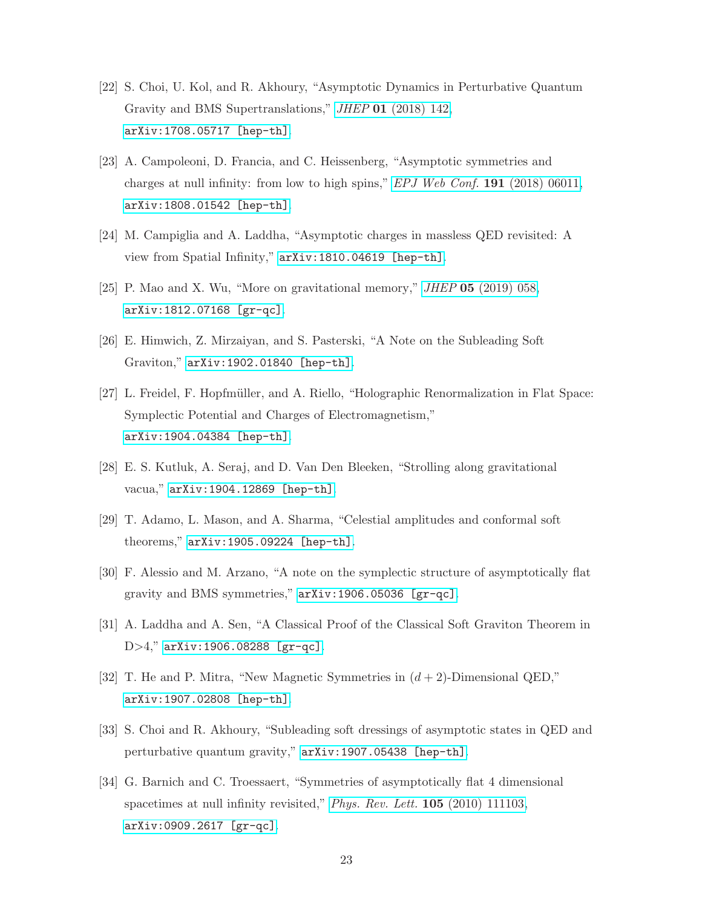- [22] S. Choi, U. Kol, and R. Akhoury, "Asymptotic Dynamics in Perturbative Quantum Gravity and BMS Supertranslations," *JHEP* 01 [\(2018\) 142,](http://dx.doi.org/10.1007/JHEP01(2018)142) [arXiv:1708.05717 \[hep-th\]](http://arxiv.org/abs/1708.05717).
- [23] A. Campoleoni, D. Francia, and C. Heissenberg, "Asymptotic symmetries and charges at null infinity: from low to high spins," *[EPJ Web Conf.](http://dx.doi.org/10.1051/epjconf/201819106011)* 191 (2018) 06011, [arXiv:1808.01542 \[hep-th\]](http://arxiv.org/abs/1808.01542).
- [24] M. Campiglia and A. Laddha, "Asymptotic charges in massless QED revisited: A view from Spatial Infinity," [arXiv:1810.04619 \[hep-th\]](http://arxiv.org/abs/1810.04619).
- [25] P. Mao and X. Wu, "More on gravitational memory," *JHEP* 05 [\(2019\) 058,](http://dx.doi.org/10.1007/JHEP05(2019)058) [arXiv:1812.07168 \[gr-qc\]](http://arxiv.org/abs/1812.07168).
- [26] E. Himwich, Z. Mirzaiyan, and S. Pasterski, "A Note on the Subleading Soft Graviton," [arXiv:1902.01840 \[hep-th\]](http://arxiv.org/abs/1902.01840).
- [27] L. Freidel, F. Hopfmüller, and A. Riello, "Holographic Renormalization in Flat Space: Symplectic Potential and Charges of Electromagnetism," [arXiv:1904.04384 \[hep-th\]](http://arxiv.org/abs/1904.04384).
- [28] E. S. Kutluk, A. Seraj, and D. Van Den Bleeken, "Strolling along gravitational vacua," [arXiv:1904.12869 \[hep-th\]](http://arxiv.org/abs/1904.12869).
- [29] T. Adamo, L. Mason, and A. Sharma, "Celestial amplitudes and conformal soft theorems," [arXiv:1905.09224 \[hep-th\]](http://arxiv.org/abs/1905.09224).
- [30] F. Alessio and M. Arzano, "A note on the symplectic structure of asymptotically flat gravity and BMS symmetries," [arXiv:1906.05036 \[gr-qc\]](http://arxiv.org/abs/1906.05036).
- [31] A. Laddha and A. Sen, "A Classical Proof of the Classical Soft Graviton Theorem in D>4," [arXiv:1906.08288 \[gr-qc\]](http://arxiv.org/abs/1906.08288).
- <span id="page-22-0"></span>[32] T. He and P. Mitra, "New Magnetic Symmetries in  $(d+2)$ -Dimensional QED," [arXiv:1907.02808 \[hep-th\]](http://arxiv.org/abs/1907.02808).
- <span id="page-22-1"></span>[33] S. Choi and R. Akhoury, "Subleading soft dressings of asymptotic states in QED and perturbative quantum gravity," [arXiv:1907.05438 \[hep-th\]](http://arxiv.org/abs/1907.05438).
- [34] G. Barnich and C. Troessaert, "Symmetries of asymptotically flat 4 dimensional spacetimes at null infinity revisited," *[Phys. Rev. Lett.](http://dx.doi.org/10.1103/PhysRevLett.105.111103)* 105 (2010) 111103, [arXiv:0909.2617 \[gr-qc\]](http://arxiv.org/abs/0909.2617).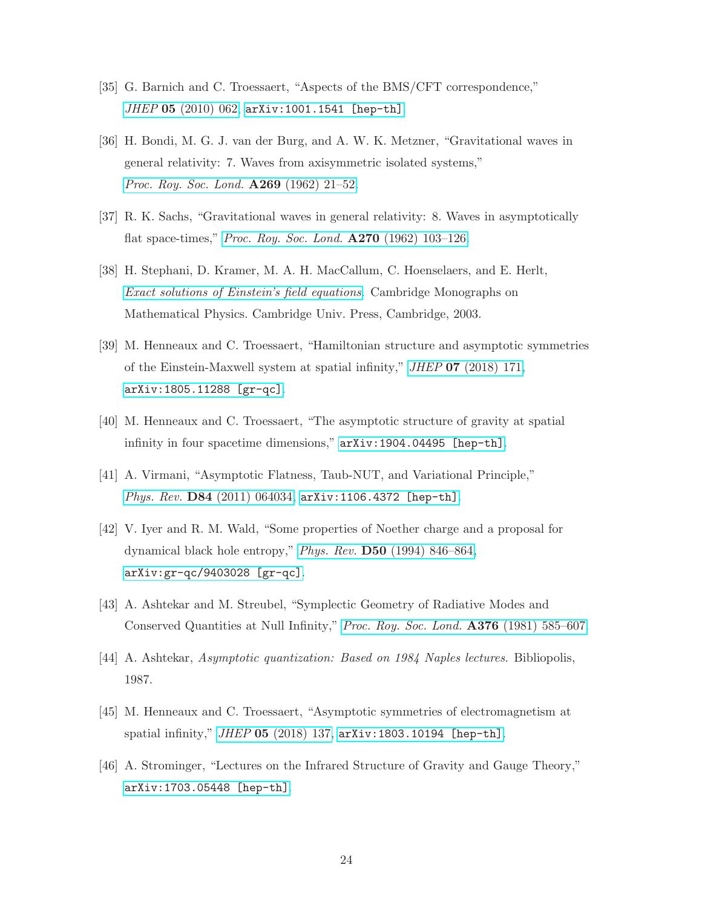- <span id="page-23-1"></span><span id="page-23-0"></span>[35] G. Barnich and C. Troessaert, "Aspects of the BMS/CFT correspondence," *JHEP* 05 [\(2010\) 062,](http://dx.doi.org/10.1007/JHEP05(2010)062) [arXiv:1001.1541 \[hep-th\]](http://arxiv.org/abs/1001.1541).
- [36] H. Bondi, M. G. J. van der Burg, and A. W. K. Metzner, "Gravitational waves in general relativity: 7. Waves from axisymmetric isolated systems," *[Proc. Roy. Soc. Lond.](http://dx.doi.org/10.1098/rspa.1962.0161)* A269 (1962) 21–52.
- <span id="page-23-3"></span><span id="page-23-2"></span>[37] R. K. Sachs, "Gravitational waves in general relativity: 8. Waves in asymptotically flat space-times," *[Proc. Roy. Soc. Lond.](http://dx.doi.org/10.1098/rspa.1962.0206)* A270 (1962) 103–126.
- [38] H. Stephani, D. Kramer, M. A. H. MacCallum, C. Hoenselaers, and E. Herlt, *[Exact solutions of Einstein's field equations](http://dx.doi.org/10.1017/CBO9780511535185)*. Cambridge Monographs on Mathematical Physics. Cambridge Univ. Press, Cambridge, 2003.
- <span id="page-23-4"></span>[39] M. Henneaux and C. Troessaert, "Hamiltonian structure and asymptotic symmetries of the Einstein-Maxwell system at spatial infinity," *JHEP* 07 [\(2018\) 171,](http://dx.doi.org/10.1007/JHEP07(2018)171) [arXiv:1805.11288 \[gr-qc\]](http://arxiv.org/abs/1805.11288).
- <span id="page-23-6"></span><span id="page-23-5"></span>[40] M. Henneaux and C. Troessaert, "The asymptotic structure of gravity at spatial infinity in four spacetime dimensions," [arXiv:1904.04495 \[hep-th\]](http://arxiv.org/abs/1904.04495).
- <span id="page-23-7"></span>[41] A. Virmani, "Asymptotic Flatness, Taub-NUT, and Variational Principle," *Phys. Rev.* D84 [\(2011\) 064034,](http://dx.doi.org/10.1103/PhysRevD.84.064034) [arXiv:1106.4372 \[hep-th\]](http://arxiv.org/abs/1106.4372).
- [42] V. Iyer and R. M. Wald, "Some properties of Noether charge and a proposal for dynamical black hole entropy," *Phys. Rev.* D50 [\(1994\) 846–864,](http://dx.doi.org/10.1103/PhysRevD.50.846) [arXiv:gr-qc/9403028 \[gr-qc\]](http://arxiv.org/abs/gr-qc/9403028).
- <span id="page-23-9"></span><span id="page-23-8"></span>[43] A. Ashtekar and M. Streubel, "Symplectic Geometry of Radiative Modes and Conserved Quantities at Null Infinity," *[Proc. Roy. Soc. Lond.](http://dx.doi.org/10.1098/rspa.1981.0109)* A376 (1981) 585–607.
- <span id="page-23-11"></span>[44] A. Ashtekar, *Asymptotic quantization: Based on 1984 Naples lectures*. Bibliopolis, 1987.
- <span id="page-23-10"></span>[45] M. Henneaux and C. Troessaert, "Asymptotic symmetries of electromagnetism at spatial infinity," *JHEP* 05 [\(2018\) 137,](http://dx.doi.org/10.1007/JHEP05(2018)137) [arXiv:1803.10194 \[hep-th\]](http://arxiv.org/abs/1803.10194).
- [46] A. Strominger, "Lectures on the Infrared Structure of Gravity and Gauge Theory," [arXiv:1703.05448 \[hep-th\]](http://arxiv.org/abs/1703.05448).